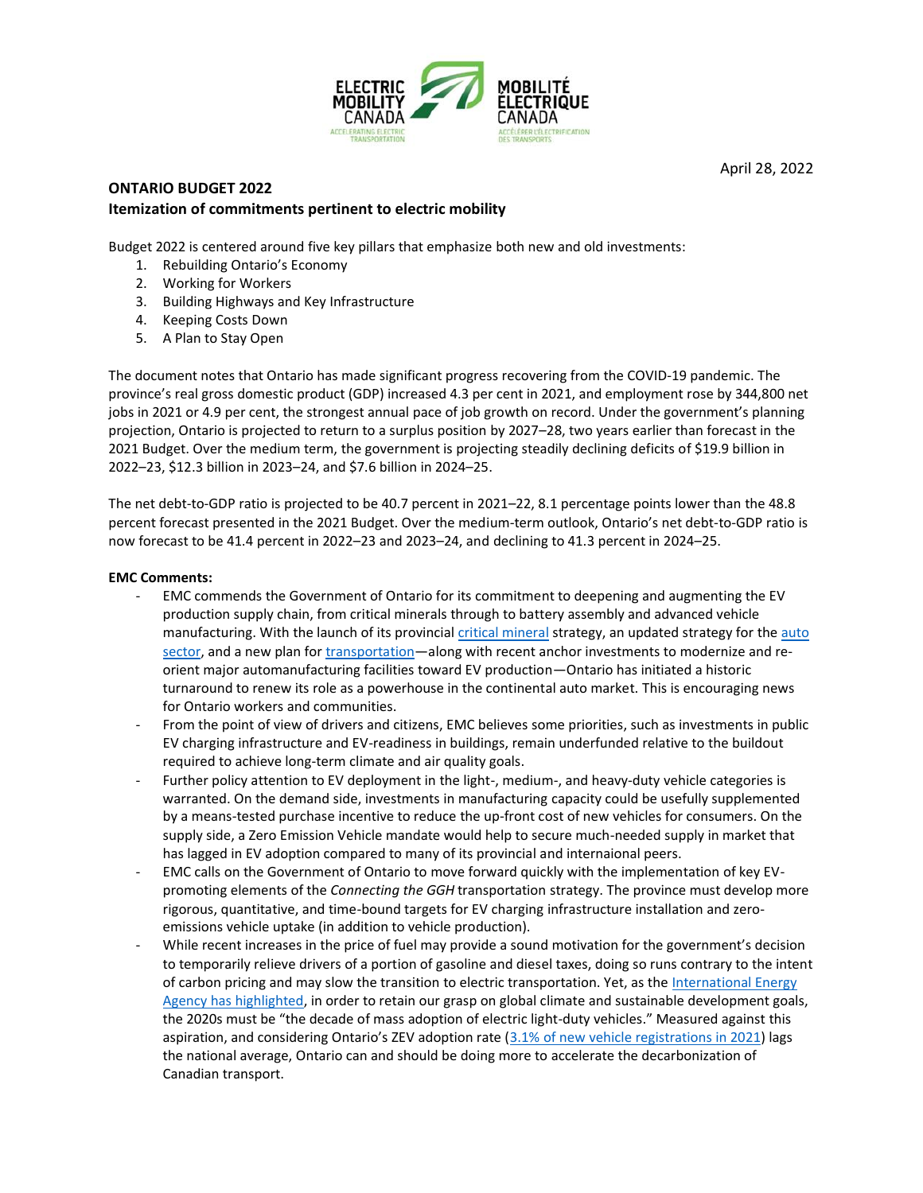

## **ONTARIO BUDGET 2022 Itemization of commitments pertinent to electric mobility**

Budget 2022 is centered around five key pillars that emphasize both new and old investments:

- 1. Rebuilding Ontario's Economy
- 2. Working for Workers
- 3. Building Highways and Key Infrastructure
- 4. Keeping Costs Down
- 5. A Plan to Stay Open

The document notes that Ontario has made significant progress recovering from the COVID‐19 pandemic. The province's real gross domestic product (GDP) increased 4.3 per cent in 2021, and employment rose by 344,800 net jobs in 2021 or 4.9 per cent, the strongest annual pace of job growth on record. Under the government's planning projection, Ontario is projected to return to a surplus position by 2027–28, two years earlier than forecast in the 2021 Budget. Over the medium term, the government is projecting steadily declining deficits of \$19.9 billion in 2022–23, \$12.3 billion in 2023–24, and \$7.6 billion in 2024–25.

The net debt-to-GDP ratio is projected to be 40.7 percent in 2021–22, 8.1 percentage points lower than the 48.8 percent forecast presented in the 2021 Budget. Over the medium-term outlook, Ontario's net debt-to-GDP ratio is now forecast to be 41.4 percent in 2022–23 and 2023–24, and declining to 41.3 percent in 2024–25.

### **EMC Comments:**

- EMC commends the Government of Ontario for its commitment to deepening and augmenting the EV production supply chain, from critical minerals through to battery assembly and advanced vehicle manufacturing. With the launch of its provincial [critical mineral](https://www.ontario.ca/page/ontarios-critical-minerals-strategy-2022-2027-unlocking-potential-drive-economic-recovery-prosperity) strategy, an updated strategy for the auto [sector,](https://files.ontario.ca/medjct-driving-prosperity-ontario-automotive-plan-phase-2-en-2021-11-23.pdf) and a new plan for *transportation*—along with recent anchor investments to modernize and reorient major automanufacturing facilities toward EV production—Ontario has initiated a historic turnaround to renew its role as a powerhouse in the continental auto market. This is encouraging news for Ontario workers and communities.
- From the point of view of drivers and citizens, EMC believes some priorities, such as investments in public EV charging infrastructure and EV-readiness in buildings, remain underfunded relative to the buildout required to achieve long-term climate and air quality goals.
- Further policy attention to EV deployment in the light-, medium-, and heavy-duty vehicle categories is warranted. On the demand side, investments in manufacturing capacity could be usefully supplemented by a means-tested purchase incentive to reduce the up-front cost of new vehicles for consumers. On the supply side, a Zero Emission Vehicle mandate would help to secure much-needed supply in market that has lagged in EV adoption compared to many of its provincial and internaional peers.
- EMC calls on the Government of Ontario to move forward quickly with the implementation of key EVpromoting elements of the *Connecting the GGH* transportation strategy. The province must develop more rigorous, quantitative, and time-bound targets for EV charging infrastructure installation and zeroemissions vehicle uptake (in addition to vehicle production).
- While recent increases in the price of fuel may provide a sound motivation for the government's decision to temporarily relieve drivers of a portion of gasoline and diesel taxes, doing so runs contrary to the intent of carbon pricing and may slow the transition to electric transportation. Yet, as the International Energy [Agency has highlighted,](https://www.iea.org/reports/global-ev-outlook-2021/policies-to-promote-electric-vehicle-deployment) in order to retain our grasp on global climate and sustainable development goals, the 2020s must be "the decade of mass adoption of electric light-duty vehicles." Measured against this aspiration, and considering Ontario's ZEV adoption rate ([3.1% of new vehicle registrations in 2021\)](https://www150.statcan.gc.ca/n1/daily-quotidien/220421/dq220421d-eng.htm) lags the national average, Ontario can and should be doing more to accelerate the decarbonization of Canadian transport.

April 28, 2022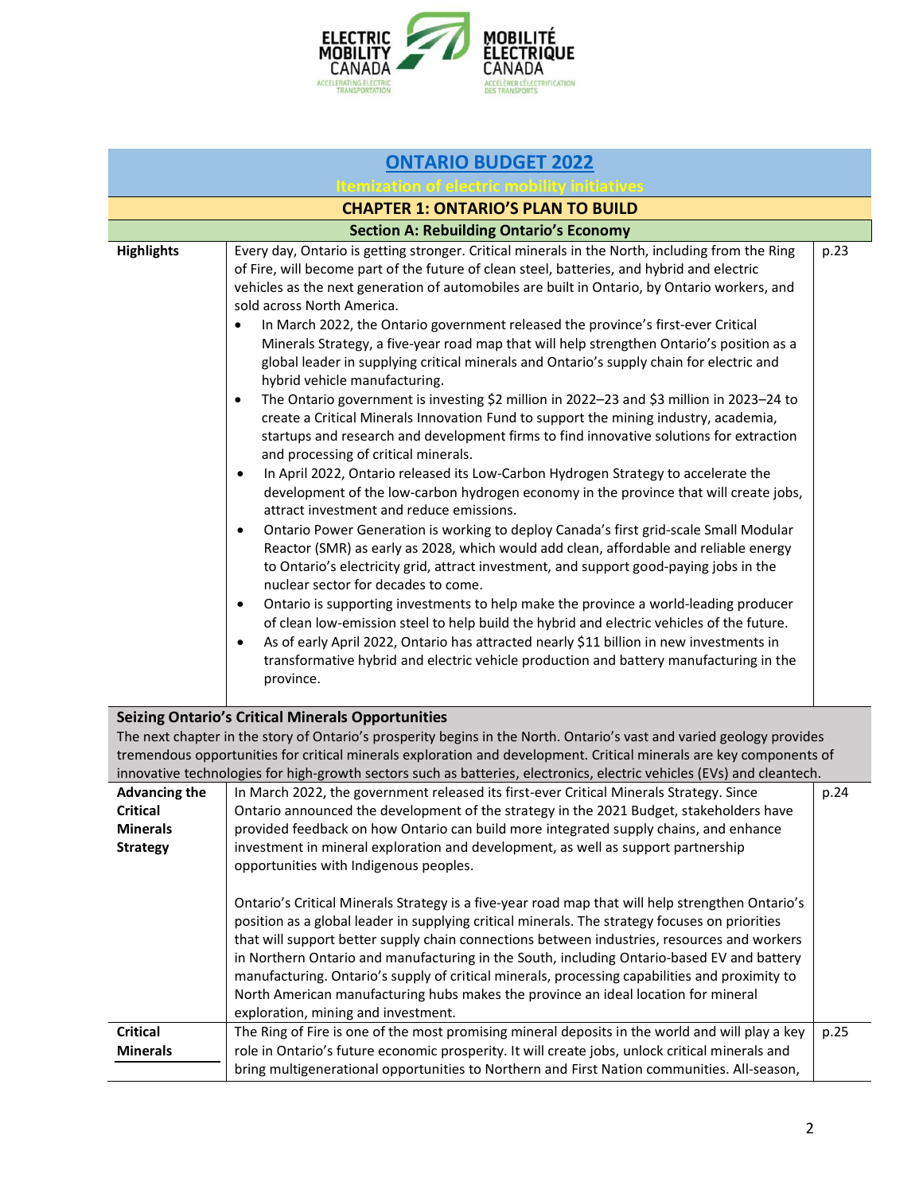

| <b>ONTARIO BUDGET 2022</b>                                                    |                                                                                                                                                                                                                                                                                                                                                                                                                                                                                                                                                                                                                                                                                                                                                                                                                                                                                                                                                                                                                                                                                                                                                                                                                                                                                                                                                                                                                                                                                                                                                                                                                                                                                                                                                                                                                                                                                                                                                    |      |
|-------------------------------------------------------------------------------|----------------------------------------------------------------------------------------------------------------------------------------------------------------------------------------------------------------------------------------------------------------------------------------------------------------------------------------------------------------------------------------------------------------------------------------------------------------------------------------------------------------------------------------------------------------------------------------------------------------------------------------------------------------------------------------------------------------------------------------------------------------------------------------------------------------------------------------------------------------------------------------------------------------------------------------------------------------------------------------------------------------------------------------------------------------------------------------------------------------------------------------------------------------------------------------------------------------------------------------------------------------------------------------------------------------------------------------------------------------------------------------------------------------------------------------------------------------------------------------------------------------------------------------------------------------------------------------------------------------------------------------------------------------------------------------------------------------------------------------------------------------------------------------------------------------------------------------------------------------------------------------------------------------------------------------------------|------|
| emization of electric m                                                       |                                                                                                                                                                                                                                                                                                                                                                                                                                                                                                                                                                                                                                                                                                                                                                                                                                                                                                                                                                                                                                                                                                                                                                                                                                                                                                                                                                                                                                                                                                                                                                                                                                                                                                                                                                                                                                                                                                                                                    |      |
|                                                                               | <b>CHAPTER 1: ONTARIO'S PLAN TO BUILD</b>                                                                                                                                                                                                                                                                                                                                                                                                                                                                                                                                                                                                                                                                                                                                                                                                                                                                                                                                                                                                                                                                                                                                                                                                                                                                                                                                                                                                                                                                                                                                                                                                                                                                                                                                                                                                                                                                                                          |      |
|                                                                               | <b>Section A: Rebuilding Ontario's Economy</b>                                                                                                                                                                                                                                                                                                                                                                                                                                                                                                                                                                                                                                                                                                                                                                                                                                                                                                                                                                                                                                                                                                                                                                                                                                                                                                                                                                                                                                                                                                                                                                                                                                                                                                                                                                                                                                                                                                     |      |
| <b>Highlights</b>                                                             | Every day, Ontario is getting stronger. Critical minerals in the North, including from the Ring<br>of Fire, will become part of the future of clean steel, batteries, and hybrid and electric<br>vehicles as the next generation of automobiles are built in Ontario, by Ontario workers, and<br>sold across North America.<br>In March 2022, the Ontario government released the province's first-ever Critical<br>Minerals Strategy, a five-year road map that will help strengthen Ontario's position as a<br>global leader in supplying critical minerals and Ontario's supply chain for electric and<br>hybrid vehicle manufacturing.<br>The Ontario government is investing \$2 million in 2022-23 and \$3 million in 2023-24 to<br>$\bullet$<br>create a Critical Minerals Innovation Fund to support the mining industry, academia,<br>startups and research and development firms to find innovative solutions for extraction<br>and processing of critical minerals.<br>In April 2022, Ontario released its Low-Carbon Hydrogen Strategy to accelerate the<br>$\bullet$<br>development of the low-carbon hydrogen economy in the province that will create jobs,<br>attract investment and reduce emissions.<br>Ontario Power Generation is working to deploy Canada's first grid-scale Small Modular<br>$\bullet$<br>Reactor (SMR) as early as 2028, which would add clean, affordable and reliable energy<br>to Ontario's electricity grid, attract investment, and support good-paying jobs in the<br>nuclear sector for decades to come.<br>Ontario is supporting investments to help make the province a world-leading producer<br>٠<br>of clean low-emission steel to help build the hybrid and electric vehicles of the future.<br>As of early April 2022, Ontario has attracted nearly \$11 billion in new investments in<br>transformative hybrid and electric vehicle production and battery manufacturing in the<br>province. | p.23 |
|                                                                               | <b>Seizing Ontario's Critical Minerals Opportunities</b><br>The next chapter in the story of Ontario's prosperity begins in the North. Ontario's vast and varied geology provides<br>tremendous opportunities for critical minerals exploration and development. Critical minerals are key components of<br>innovative technologies for high-growth sectors such as batteries, electronics, electric vehicles (EVs) and cleantech.                                                                                                                                                                                                                                                                                                                                                                                                                                                                                                                                                                                                                                                                                                                                                                                                                                                                                                                                                                                                                                                                                                                                                                                                                                                                                                                                                                                                                                                                                                                 |      |
| <b>Advancing the</b><br><b>Critical</b><br><b>Minerals</b><br><b>Strategy</b> | In March 2022, the government released its first-ever Critical Minerals Strategy. Since<br>Ontario announced the development of the strategy in the 2021 Budget, stakeholders have<br>provided feedback on how Ontario can build more integrated supply chains, and enhance<br>investment in mineral exploration and development, as well as support partnership<br>opportunities with Indigenous peoples.<br>Ontario's Critical Minerals Strategy is a five-year road map that will help strengthen Ontario's<br>position as a global leader in supplying critical minerals. The strategy focuses on priorities<br>that will support better supply chain connections between industries, resources and workers                                                                                                                                                                                                                                                                                                                                                                                                                                                                                                                                                                                                                                                                                                                                                                                                                                                                                                                                                                                                                                                                                                                                                                                                                                    | p.24 |
| <b>Critical</b><br><b>Minerals</b>                                            | in Northern Ontario and manufacturing in the South, including Ontario-based EV and battery<br>manufacturing. Ontario's supply of critical minerals, processing capabilities and proximity to<br>North American manufacturing hubs makes the province an ideal location for mineral<br>exploration, mining and investment.<br>The Ring of Fire is one of the most promising mineral deposits in the world and will play a key<br>role in Ontario's future economic prosperity. It will create jobs, unlock critical minerals and                                                                                                                                                                                                                                                                                                                                                                                                                                                                                                                                                                                                                                                                                                                                                                                                                                                                                                                                                                                                                                                                                                                                                                                                                                                                                                                                                                                                                    | p.25 |
|                                                                               | bring multigenerational opportunities to Northern and First Nation communities. All-season,                                                                                                                                                                                                                                                                                                                                                                                                                                                                                                                                                                                                                                                                                                                                                                                                                                                                                                                                                                                                                                                                                                                                                                                                                                                                                                                                                                                                                                                                                                                                                                                                                                                                                                                                                                                                                                                        |      |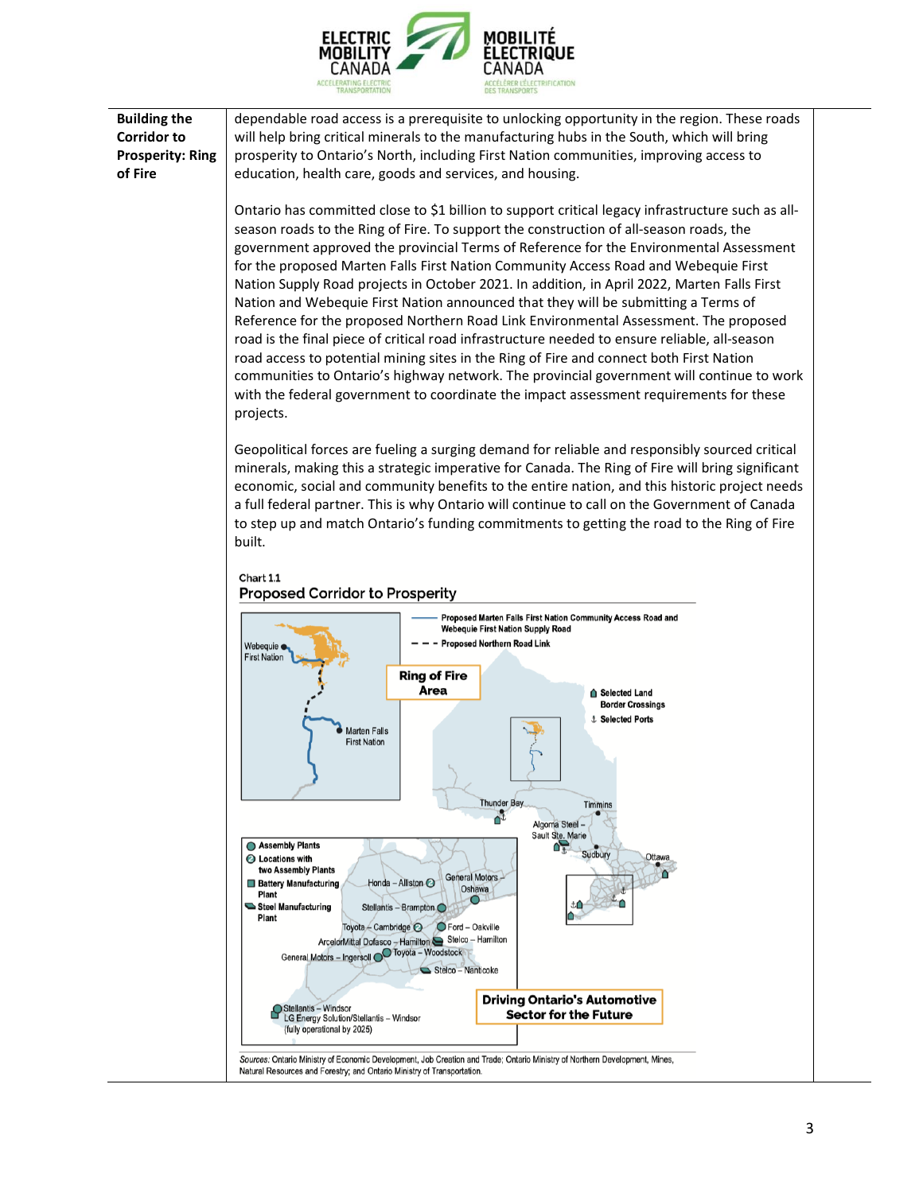

**Building the Corridor to Prosperity: Ring of Fire** dependable road access is a prerequisite to unlocking opportunity in the region. These roads will help bring critical minerals to the manufacturing hubs in the South, which will bring prosperity to Ontario's North, including First Nation communities, improving access to education, health care, goods and services, and housing.

> Ontario has committed close to \$1 billion to support critical legacy infrastructure such as all‐ season roads to the Ring of Fire. To support the construction of all‐season roads, the government approved the provincial Terms of Reference for the Environmental Assessment for the proposed Marten Falls First Nation Community Access Road and Webequie First Nation Supply Road projects in October 2021. In addition, in April 2022, Marten Falls First Nation and Webequie First Nation announced that they will be submitting a Terms of Reference for the proposed Northern Road Link Environmental Assessment. The proposed road is the final piece of critical road infrastructure needed to ensure reliable, all‐season road access to potential mining sites in the Ring of Fire and connect both First Nation communities to Ontario's highway network. The provincial government will continue to work with the federal government to coordinate the impact assessment requirements for these projects.

> Geopolitical forces are fueling a surging demand for reliable and responsibly sourced critical minerals, making this a strategic imperative for Canada. The Ring of Fire will bring significant economic, social and community benefits to the entire nation, and this historic project needs a full federal partner. This is why Ontario will continue to call on the Government of Canada to step up and match Ontario's funding commitments to getting the road to the Ring of Fire built.



Chart 1.1

Sources: Ontario Ministry of Economic Development, Job Creation and Trade: Ontario Ministry of Northern Development, Mines, Natural Resources and Forestry; and Ontario Ministry of Transportation.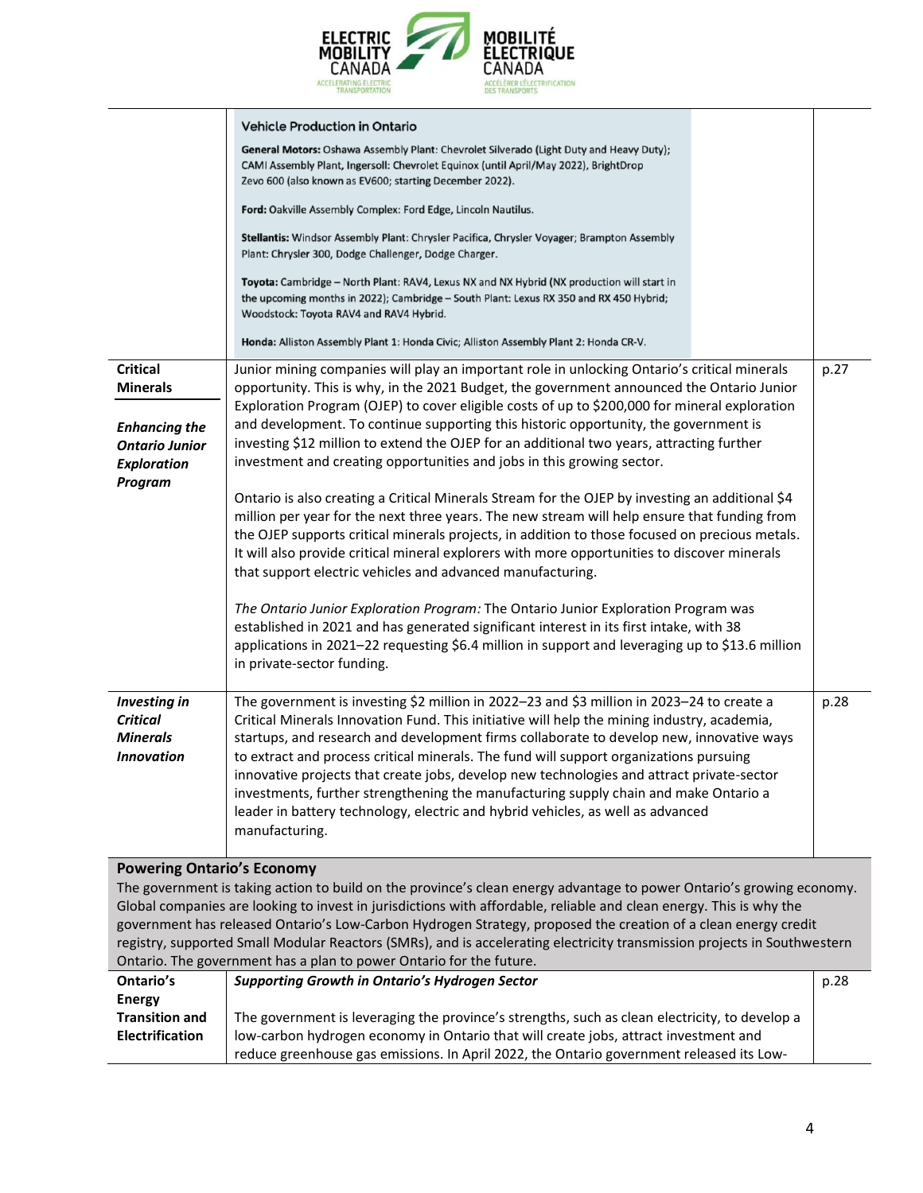

|                                                                                                                                                                                                                                                                                                                                                                                                                                                                                                                                                                   | <b>Vehicle Production in Ontario</b>                                                                                                                                                                                                                                                                                                                                                                                                                                                                                                                                                                                                                                                                                                                |      |
|-------------------------------------------------------------------------------------------------------------------------------------------------------------------------------------------------------------------------------------------------------------------------------------------------------------------------------------------------------------------------------------------------------------------------------------------------------------------------------------------------------------------------------------------------------------------|-----------------------------------------------------------------------------------------------------------------------------------------------------------------------------------------------------------------------------------------------------------------------------------------------------------------------------------------------------------------------------------------------------------------------------------------------------------------------------------------------------------------------------------------------------------------------------------------------------------------------------------------------------------------------------------------------------------------------------------------------------|------|
|                                                                                                                                                                                                                                                                                                                                                                                                                                                                                                                                                                   | General Motors: Oshawa Assembly Plant: Chevrolet Silverado (Light Duty and Heavy Duty);<br>CAMI Assembly Plant, Ingersoll: Chevrolet Equinox (until April/May 2022), BrightDrop<br>Zevo 600 (also known as EV600; starting December 2022).                                                                                                                                                                                                                                                                                                                                                                                                                                                                                                          |      |
|                                                                                                                                                                                                                                                                                                                                                                                                                                                                                                                                                                   | Ford: Oakville Assembly Complex: Ford Edge, Lincoln Nautilus.                                                                                                                                                                                                                                                                                                                                                                                                                                                                                                                                                                                                                                                                                       |      |
|                                                                                                                                                                                                                                                                                                                                                                                                                                                                                                                                                                   | Stellantis: Windsor Assembly Plant: Chrysler Pacifica, Chrysler Voyager; Brampton Assembly<br>Plant: Chrysler 300, Dodge Challenger, Dodge Charger.                                                                                                                                                                                                                                                                                                                                                                                                                                                                                                                                                                                                 |      |
|                                                                                                                                                                                                                                                                                                                                                                                                                                                                                                                                                                   | Toyota: Cambridge - North Plant: RAV4, Lexus NX and NX Hybrid (NX production will start in<br>the upcoming months in 2022); Cambridge - South Plant: Lexus RX 350 and RX 450 Hybrid;<br>Woodstock: Toyota RAV4 and RAV4 Hybrid.                                                                                                                                                                                                                                                                                                                                                                                                                                                                                                                     |      |
|                                                                                                                                                                                                                                                                                                                                                                                                                                                                                                                                                                   | Honda: Alliston Assembly Plant 1: Honda Civic; Alliston Assembly Plant 2: Honda CR-V.                                                                                                                                                                                                                                                                                                                                                                                                                                                                                                                                                                                                                                                               |      |
| <b>Critical</b><br><b>Minerals</b><br><b>Enhancing the</b><br><b>Ontario Junior</b><br><b>Exploration</b><br>Program                                                                                                                                                                                                                                                                                                                                                                                                                                              | Junior mining companies will play an important role in unlocking Ontario's critical minerals<br>opportunity. This is why, in the 2021 Budget, the government announced the Ontario Junior<br>Exploration Program (OJEP) to cover eligible costs of up to \$200,000 for mineral exploration<br>and development. To continue supporting this historic opportunity, the government is<br>investing \$12 million to extend the OJEP for an additional two years, attracting further<br>investment and creating opportunities and jobs in this growing sector.                                                                                                                                                                                           | p.27 |
|                                                                                                                                                                                                                                                                                                                                                                                                                                                                                                                                                                   | Ontario is also creating a Critical Minerals Stream for the OJEP by investing an additional \$4<br>million per year for the next three years. The new stream will help ensure that funding from<br>the OJEP supports critical minerals projects, in addition to those focused on precious metals.<br>It will also provide critical mineral explorers with more opportunities to discover minerals<br>that support electric vehicles and advanced manufacturing.<br>The Ontario Junior Exploration Program: The Ontario Junior Exploration Program was<br>established in 2021 and has generated significant interest in its first intake, with 38<br>applications in 2021-22 requesting \$6.4 million in support and leveraging up to \$13.6 million |      |
|                                                                                                                                                                                                                                                                                                                                                                                                                                                                                                                                                                   | in private-sector funding.                                                                                                                                                                                                                                                                                                                                                                                                                                                                                                                                                                                                                                                                                                                          |      |
| <b>Investing in</b><br><b>Critical</b><br>Minerals<br><b>Innovation</b>                                                                                                                                                                                                                                                                                                                                                                                                                                                                                           | The government is investing \$2 million in 2022-23 and \$3 million in 2023-24 to create a<br>Critical Minerals Innovation Fund. This initiative will help the mining industry, academia,<br>startups, and research and development firms collaborate to develop new, innovative ways<br>to extract and process critical minerals. The fund will support organizations pursuing<br>innovative projects that create jobs, develop new technologies and attract private-sector<br>investments, further strengthening the manufacturing supply chain and make Ontario a<br>leader in battery technology, electric and hybrid vehicles, as well as advanced<br>manufacturing.                                                                            | p.28 |
| <b>Powering Ontario's Economy</b>                                                                                                                                                                                                                                                                                                                                                                                                                                                                                                                                 |                                                                                                                                                                                                                                                                                                                                                                                                                                                                                                                                                                                                                                                                                                                                                     |      |
| The government is taking action to build on the province's clean energy advantage to power Ontario's growing economy.<br>Global companies are looking to invest in jurisdictions with affordable, reliable and clean energy. This is why the<br>government has released Ontario's Low-Carbon Hydrogen Strategy, proposed the creation of a clean energy credit<br>registry, supported Small Modular Reactors (SMRs), and is accelerating electricity transmission projects in Southwestern<br>Ontario. The government has a plan to power Ontario for the future. |                                                                                                                                                                                                                                                                                                                                                                                                                                                                                                                                                                                                                                                                                                                                                     |      |
| Ontario's                                                                                                                                                                                                                                                                                                                                                                                                                                                                                                                                                         | <b>Supporting Growth in Ontario's Hydrogen Sector</b>                                                                                                                                                                                                                                                                                                                                                                                                                                                                                                                                                                                                                                                                                               | p.28 |
| <b>Energy</b>                                                                                                                                                                                                                                                                                                                                                                                                                                                                                                                                                     |                                                                                                                                                                                                                                                                                                                                                                                                                                                                                                                                                                                                                                                                                                                                                     |      |
| <b>Transition and</b><br><b>Electrification</b>                                                                                                                                                                                                                                                                                                                                                                                                                                                                                                                   | The government is leveraging the province's strengths, such as clean electricity, to develop a<br>low-carbon hydrogen economy in Ontario that will create jobs, attract investment and                                                                                                                                                                                                                                                                                                                                                                                                                                                                                                                                                              |      |

reduce greenhouse gas emissions. In April 2022, the Ontario government released its Low‐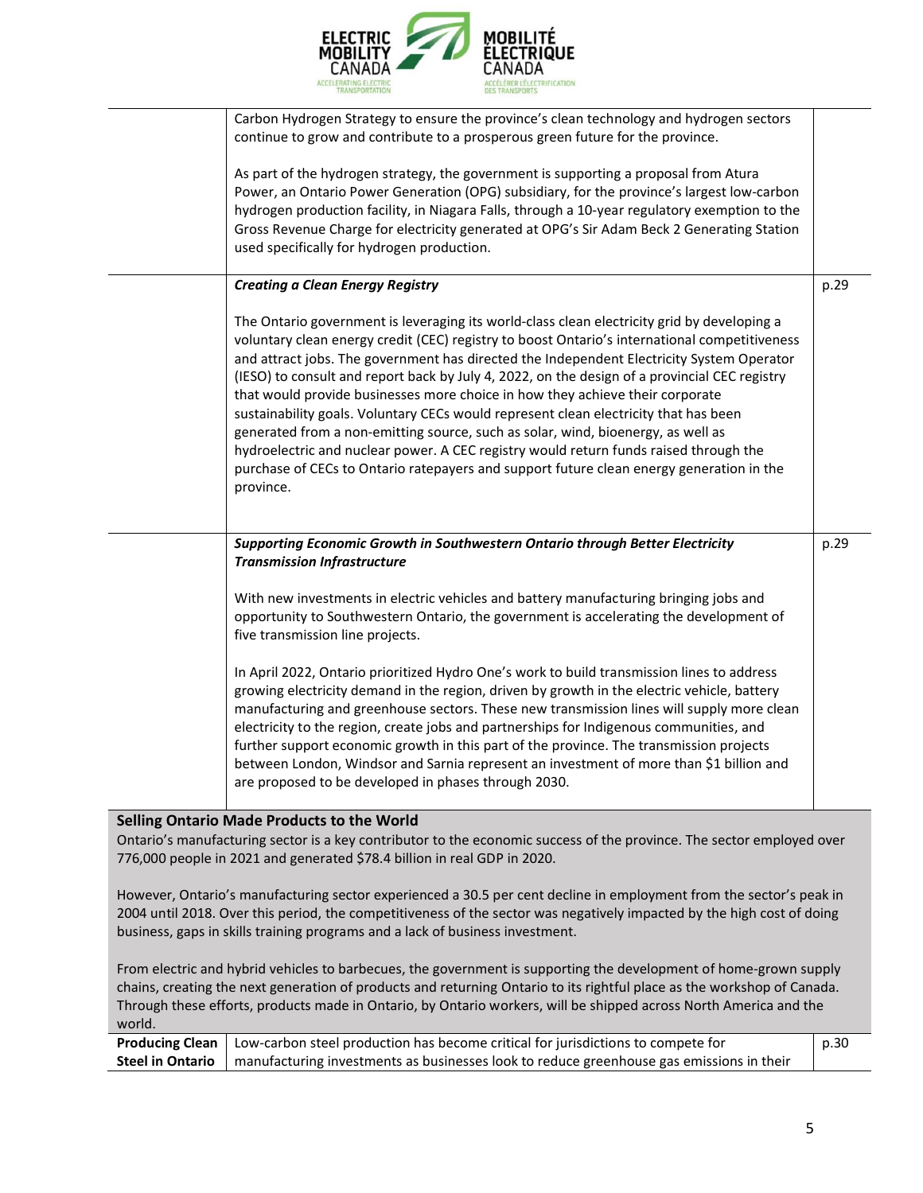

|                                                                                                                                                                                                                                                                                                                                                                             | Carbon Hydrogen Strategy to ensure the province's clean technology and hydrogen sectors<br>continue to grow and contribute to a prosperous green future for the province.<br>As part of the hydrogen strategy, the government is supporting a proposal from Atura                                                                                                                                                                                                                                                                                                                                                                                                                                                                                                                                                                                         |      |
|-----------------------------------------------------------------------------------------------------------------------------------------------------------------------------------------------------------------------------------------------------------------------------------------------------------------------------------------------------------------------------|-----------------------------------------------------------------------------------------------------------------------------------------------------------------------------------------------------------------------------------------------------------------------------------------------------------------------------------------------------------------------------------------------------------------------------------------------------------------------------------------------------------------------------------------------------------------------------------------------------------------------------------------------------------------------------------------------------------------------------------------------------------------------------------------------------------------------------------------------------------|------|
|                                                                                                                                                                                                                                                                                                                                                                             | Power, an Ontario Power Generation (OPG) subsidiary, for the province's largest low-carbon<br>hydrogen production facility, in Niagara Falls, through a 10-year regulatory exemption to the<br>Gross Revenue Charge for electricity generated at OPG's Sir Adam Beck 2 Generating Station<br>used specifically for hydrogen production.                                                                                                                                                                                                                                                                                                                                                                                                                                                                                                                   |      |
|                                                                                                                                                                                                                                                                                                                                                                             | <b>Creating a Clean Energy Registry</b>                                                                                                                                                                                                                                                                                                                                                                                                                                                                                                                                                                                                                                                                                                                                                                                                                   | p.29 |
|                                                                                                                                                                                                                                                                                                                                                                             | The Ontario government is leveraging its world-class clean electricity grid by developing a<br>voluntary clean energy credit (CEC) registry to boost Ontario's international competitiveness<br>and attract jobs. The government has directed the Independent Electricity System Operator<br>(IESO) to consult and report back by July 4, 2022, on the design of a provincial CEC registry<br>that would provide businesses more choice in how they achieve their corporate<br>sustainability goals. Voluntary CECs would represent clean electricity that has been<br>generated from a non-emitting source, such as solar, wind, bioenergy, as well as<br>hydroelectric and nuclear power. A CEC registry would return funds raised through the<br>purchase of CECs to Ontario ratepayers and support future clean energy generation in the<br>province. |      |
|                                                                                                                                                                                                                                                                                                                                                                             | Supporting Economic Growth in Southwestern Ontario through Better Electricity<br><b>Transmission Infrastructure</b>                                                                                                                                                                                                                                                                                                                                                                                                                                                                                                                                                                                                                                                                                                                                       | p.29 |
|                                                                                                                                                                                                                                                                                                                                                                             | With new investments in electric vehicles and battery manufacturing bringing jobs and<br>opportunity to Southwestern Ontario, the government is accelerating the development of<br>five transmission line projects.                                                                                                                                                                                                                                                                                                                                                                                                                                                                                                                                                                                                                                       |      |
|                                                                                                                                                                                                                                                                                                                                                                             | In April 2022, Ontario prioritized Hydro One's work to build transmission lines to address<br>growing electricity demand in the region, driven by growth in the electric vehicle, battery<br>manufacturing and greenhouse sectors. These new transmission lines will supply more clean<br>electricity to the region, create jobs and partnerships for Indigenous communities, and<br>further support economic growth in this part of the province. The transmission projects<br>between London, Windsor and Sarnia represent an investment of more than \$1 billion and<br>are proposed to be developed in phases through 2030.                                                                                                                                                                                                                           |      |
|                                                                                                                                                                                                                                                                                                                                                                             | Selling Ontario Made Products to the World                                                                                                                                                                                                                                                                                                                                                                                                                                                                                                                                                                                                                                                                                                                                                                                                                |      |
|                                                                                                                                                                                                                                                                                                                                                                             | Ontario's manufacturing sector is a key contributor to the economic success of the province. The sector employed over<br>776,000 people in 2021 and generated \$78.4 billion in real GDP in 2020.                                                                                                                                                                                                                                                                                                                                                                                                                                                                                                                                                                                                                                                         |      |
| However, Ontario's manufacturing sector experienced a 30.5 per cent decline in employment from the sector's peak in<br>2004 until 2018. Over this period, the competitiveness of the sector was negatively impacted by the high cost of doing<br>business, gaps in skills training programs and a lack of business investment.                                              |                                                                                                                                                                                                                                                                                                                                                                                                                                                                                                                                                                                                                                                                                                                                                                                                                                                           |      |
| From electric and hybrid vehicles to barbecues, the government is supporting the development of home-grown supply<br>chains, creating the next generation of products and returning Ontario to its rightful place as the workshop of Canada.<br>Through these efforts, products made in Ontario, by Ontario workers, will be shipped across North America and the<br>world. |                                                                                                                                                                                                                                                                                                                                                                                                                                                                                                                                                                                                                                                                                                                                                                                                                                                           |      |

| <b>Producing Clean</b>   Low-carbon steel production has become critical for jurisdictions to compete for   | p.30 |
|-------------------------------------------------------------------------------------------------------------|------|
| Steel in Ontario   manufacturing investments as businesses look to reduce greenhouse gas emissions in their |      |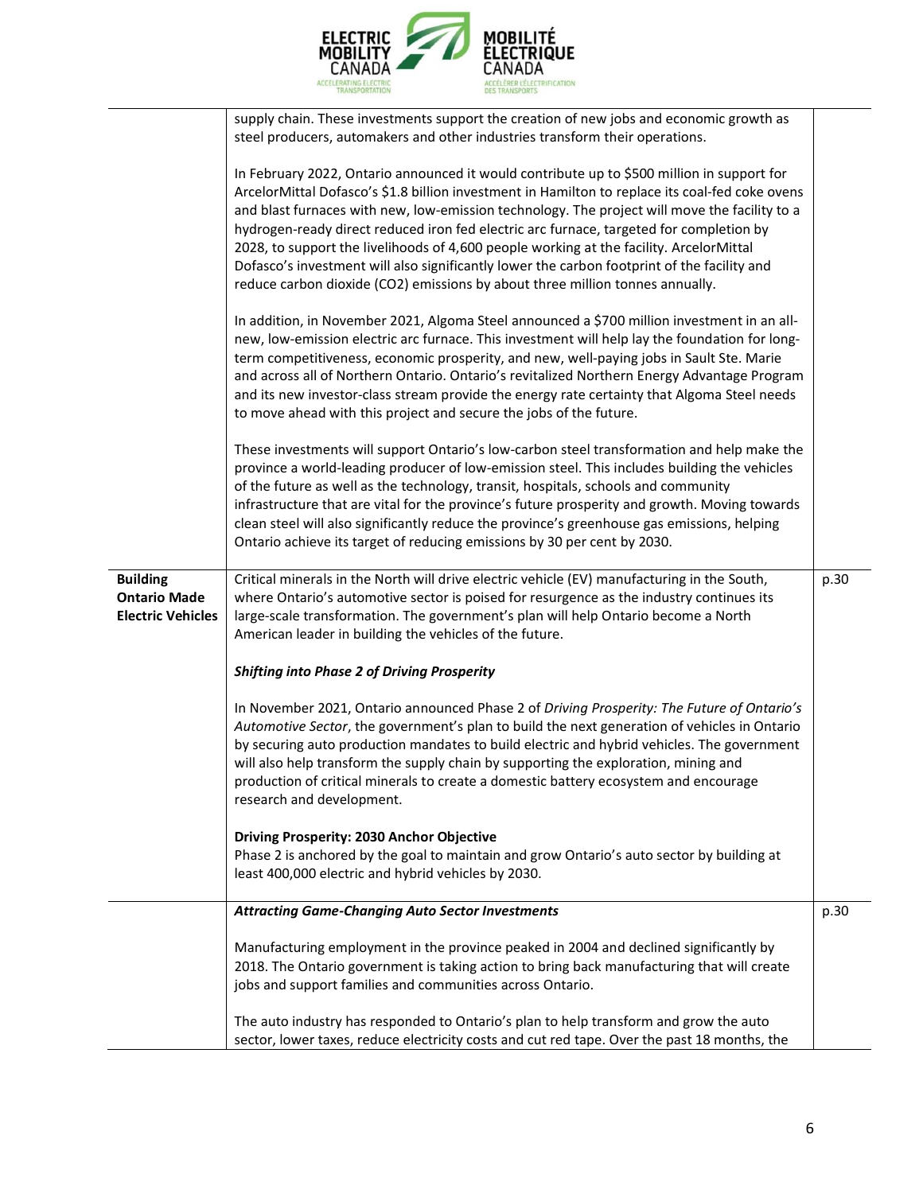

|                                                                    | supply chain. These investments support the creation of new jobs and economic growth as<br>steel producers, automakers and other industries transform their operations.                                                                                                                                                                                                                                                                                                                                                                                                                                                                                              |      |
|--------------------------------------------------------------------|----------------------------------------------------------------------------------------------------------------------------------------------------------------------------------------------------------------------------------------------------------------------------------------------------------------------------------------------------------------------------------------------------------------------------------------------------------------------------------------------------------------------------------------------------------------------------------------------------------------------------------------------------------------------|------|
|                                                                    | In February 2022, Ontario announced it would contribute up to \$500 million in support for<br>ArcelorMittal Dofasco's \$1.8 billion investment in Hamilton to replace its coal-fed coke ovens<br>and blast furnaces with new, low-emission technology. The project will move the facility to a<br>hydrogen-ready direct reduced iron fed electric arc furnace, targeted for completion by<br>2028, to support the livelihoods of 4,600 people working at the facility. ArcelorMittal<br>Dofasco's investment will also significantly lower the carbon footprint of the facility and<br>reduce carbon dioxide (CO2) emissions by about three million tonnes annually. |      |
|                                                                    | In addition, in November 2021, Algoma Steel announced a \$700 million investment in an all-<br>new, low-emission electric arc furnace. This investment will help lay the foundation for long-<br>term competitiveness, economic prosperity, and new, well-paying jobs in Sault Ste. Marie<br>and across all of Northern Ontario. Ontario's revitalized Northern Energy Advantage Program<br>and its new investor-class stream provide the energy rate certainty that Algoma Steel needs<br>to move ahead with this project and secure the jobs of the future.                                                                                                        |      |
|                                                                    | These investments will support Ontario's low-carbon steel transformation and help make the<br>province a world-leading producer of low-emission steel. This includes building the vehicles<br>of the future as well as the technology, transit, hospitals, schools and community<br>infrastructure that are vital for the province's future prosperity and growth. Moving towards<br>clean steel will also significantly reduce the province's greenhouse gas emissions, helping<br>Ontario achieve its target of reducing emissions by 30 per cent by 2030.                                                                                                         |      |
| <b>Building</b><br><b>Ontario Made</b><br><b>Electric Vehicles</b> | Critical minerals in the North will drive electric vehicle (EV) manufacturing in the South,<br>where Ontario's automotive sector is poised for resurgence as the industry continues its<br>large-scale transformation. The government's plan will help Ontario become a North<br>American leader in building the vehicles of the future.                                                                                                                                                                                                                                                                                                                             | p.30 |
|                                                                    | <b>Shifting into Phase 2 of Driving Prosperity</b>                                                                                                                                                                                                                                                                                                                                                                                                                                                                                                                                                                                                                   |      |
|                                                                    | In November 2021, Ontario announced Phase 2 of Driving Prosperity: The Future of Ontario's<br>Automotive Sector, the government's plan to build the next generation of vehicles in Ontario<br>by securing auto production mandates to build electric and hybrid vehicles. The government<br>will also help transform the supply chain by supporting the exploration, mining and<br>production of critical minerals to create a domestic battery ecosystem and encourage<br>research and development.                                                                                                                                                                 |      |
|                                                                    | Driving Prosperity: 2030 Anchor Objective<br>Phase 2 is anchored by the goal to maintain and grow Ontario's auto sector by building at<br>least 400,000 electric and hybrid vehicles by 2030.                                                                                                                                                                                                                                                                                                                                                                                                                                                                        |      |
|                                                                    | <b>Attracting Game-Changing Auto Sector Investments</b>                                                                                                                                                                                                                                                                                                                                                                                                                                                                                                                                                                                                              | p.30 |
|                                                                    | Manufacturing employment in the province peaked in 2004 and declined significantly by<br>2018. The Ontario government is taking action to bring back manufacturing that will create<br>jobs and support families and communities across Ontario.                                                                                                                                                                                                                                                                                                                                                                                                                     |      |
|                                                                    | The auto industry has responded to Ontario's plan to help transform and grow the auto<br>sector, lower taxes, reduce electricity costs and cut red tape. Over the past 18 months, the                                                                                                                                                                                                                                                                                                                                                                                                                                                                                |      |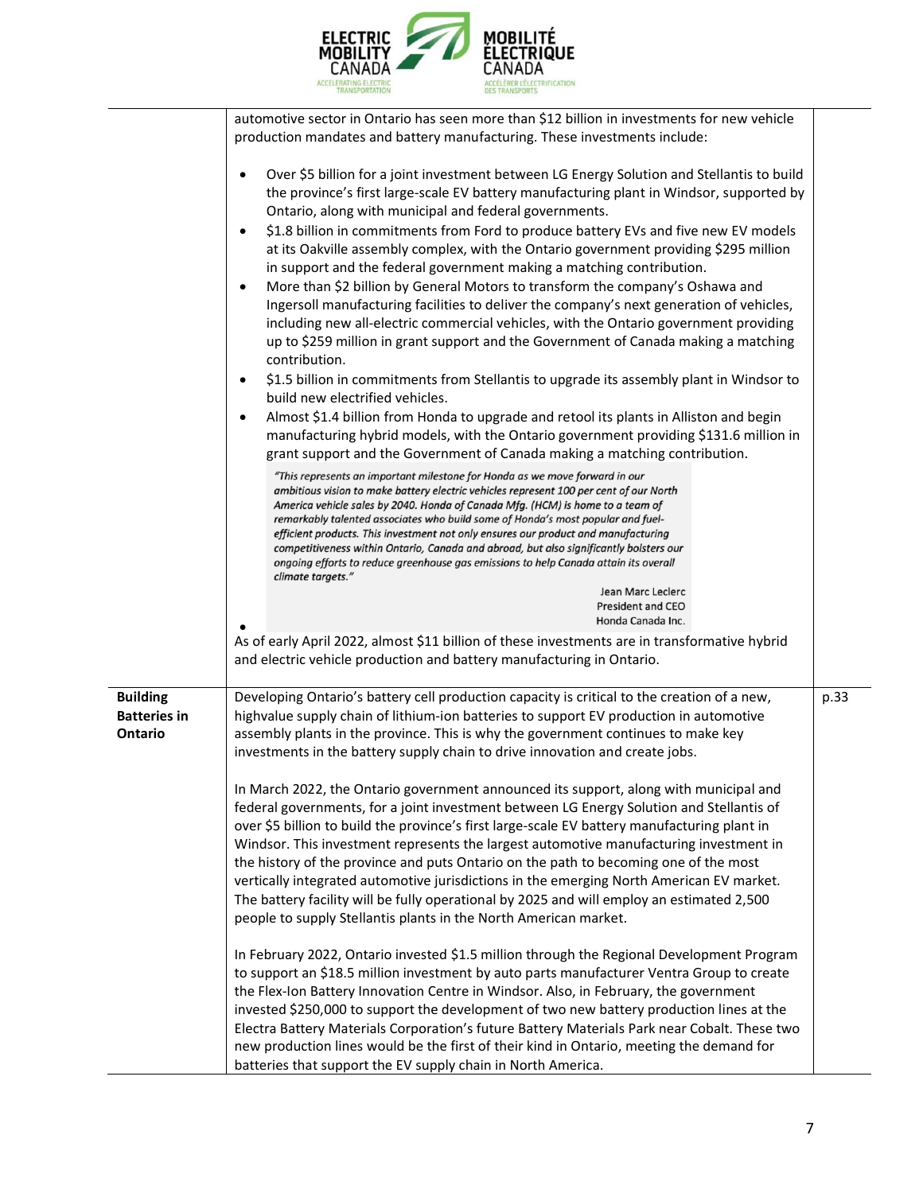

|                                                          | automotive sector in Ontario has seen more than \$12 billion in investments for new vehicle<br>production mandates and battery manufacturing. These investments include:                                                                                                                                                                                                                                                                                                                                                                                                                                                                                                                                                                                                                                                                                                                                                                                                                                                                                                                                                                                                                                                                                                                                                                                                                                                                                                                                                                                                                                                                                                                                                                                                                                                                                                                                                                                                                                                  |      |
|----------------------------------------------------------|---------------------------------------------------------------------------------------------------------------------------------------------------------------------------------------------------------------------------------------------------------------------------------------------------------------------------------------------------------------------------------------------------------------------------------------------------------------------------------------------------------------------------------------------------------------------------------------------------------------------------------------------------------------------------------------------------------------------------------------------------------------------------------------------------------------------------------------------------------------------------------------------------------------------------------------------------------------------------------------------------------------------------------------------------------------------------------------------------------------------------------------------------------------------------------------------------------------------------------------------------------------------------------------------------------------------------------------------------------------------------------------------------------------------------------------------------------------------------------------------------------------------------------------------------------------------------------------------------------------------------------------------------------------------------------------------------------------------------------------------------------------------------------------------------------------------------------------------------------------------------------------------------------------------------------------------------------------------------------------------------------------------------|------|
|                                                          | Over \$5 billion for a joint investment between LG Energy Solution and Stellantis to build<br>$\bullet$<br>the province's first large-scale EV battery manufacturing plant in Windsor, supported by<br>Ontario, along with municipal and federal governments.<br>\$1.8 billion in commitments from Ford to produce battery EVs and five new EV models<br>$\bullet$<br>at its Oakville assembly complex, with the Ontario government providing \$295 million<br>in support and the federal government making a matching contribution.<br>More than \$2 billion by General Motors to transform the company's Oshawa and<br>$\bullet$<br>Ingersoll manufacturing facilities to deliver the company's next generation of vehicles,<br>including new all-electric commercial vehicles, with the Ontario government providing<br>up to \$259 million in grant support and the Government of Canada making a matching<br>contribution.<br>\$1.5 billion in commitments from Stellantis to upgrade its assembly plant in Windsor to<br>$\bullet$<br>build new electrified vehicles.<br>Almost \$1.4 billion from Honda to upgrade and retool its plants in Alliston and begin<br>$\bullet$<br>manufacturing hybrid models, with the Ontario government providing \$131.6 million in<br>grant support and the Government of Canada making a matching contribution.<br>"This represents an important milestone for Honda as we move forward in our<br>ambitious vision to make battery electric vehicles represent 100 per cent of our North<br>America vehicle sales by 2040. Honda of Canada Mfg. (HCM) is home to a team of<br>remarkably talented associates who build some of Honda's most popular and fuel-<br>efficient products. This investment not only ensures our product and manufacturing<br>competitiveness within Ontario, Canada and abroad, but also significantly bolsters our<br>ongoing efforts to reduce greenhouse gas emissions to help Canada attain its overall<br>climate targets."<br>Jean Marc Leclerc |      |
|                                                          | <b>President and CEO</b>                                                                                                                                                                                                                                                                                                                                                                                                                                                                                                                                                                                                                                                                                                                                                                                                                                                                                                                                                                                                                                                                                                                                                                                                                                                                                                                                                                                                                                                                                                                                                                                                                                                                                                                                                                                                                                                                                                                                                                                                  |      |
|                                                          | Honda Canada Inc.<br>As of early April 2022, almost \$11 billion of these investments are in transformative hybrid<br>and electric vehicle production and battery manufacturing in Ontario.                                                                                                                                                                                                                                                                                                                                                                                                                                                                                                                                                                                                                                                                                                                                                                                                                                                                                                                                                                                                                                                                                                                                                                                                                                                                                                                                                                                                                                                                                                                                                                                                                                                                                                                                                                                                                               |      |
| <b>Building</b><br><b>Batteries in</b><br><b>Ontario</b> | Developing Ontario's battery cell production capacity is critical to the creation of a new,<br>highvalue supply chain of lithium-ion batteries to support EV production in automotive<br>assembly plants in the province. This is why the government continues to make key<br>investments in the battery supply chain to drive innovation and create jobs.<br>In March 2022, the Ontario government announced its support, along with municipal and<br>federal governments, for a joint investment between LG Energy Solution and Stellantis of<br>over \$5 billion to build the province's first large-scale EV battery manufacturing plant in<br>Windsor. This investment represents the largest automotive manufacturing investment in<br>the history of the province and puts Ontario on the path to becoming one of the most<br>vertically integrated automotive jurisdictions in the emerging North American EV market.<br>The battery facility will be fully operational by 2025 and will employ an estimated 2,500<br>people to supply Stellantis plants in the North American market.                                                                                                                                                                                                                                                                                                                                                                                                                                                                                                                                                                                                                                                                                                                                                                                                                                                                                                                            | p.33 |
|                                                          | In February 2022, Ontario invested \$1.5 million through the Regional Development Program<br>to support an \$18.5 million investment by auto parts manufacturer Ventra Group to create<br>the Flex-Ion Battery Innovation Centre in Windsor. Also, in February, the government<br>invested \$250,000 to support the development of two new battery production lines at the<br>Electra Battery Materials Corporation's future Battery Materials Park near Cobalt. These two<br>new production lines would be the first of their kind in Ontario, meeting the demand for<br>batteries that support the EV supply chain in North America.                                                                                                                                                                                                                                                                                                                                                                                                                                                                                                                                                                                                                                                                                                                                                                                                                                                                                                                                                                                                                                                                                                                                                                                                                                                                                                                                                                                    |      |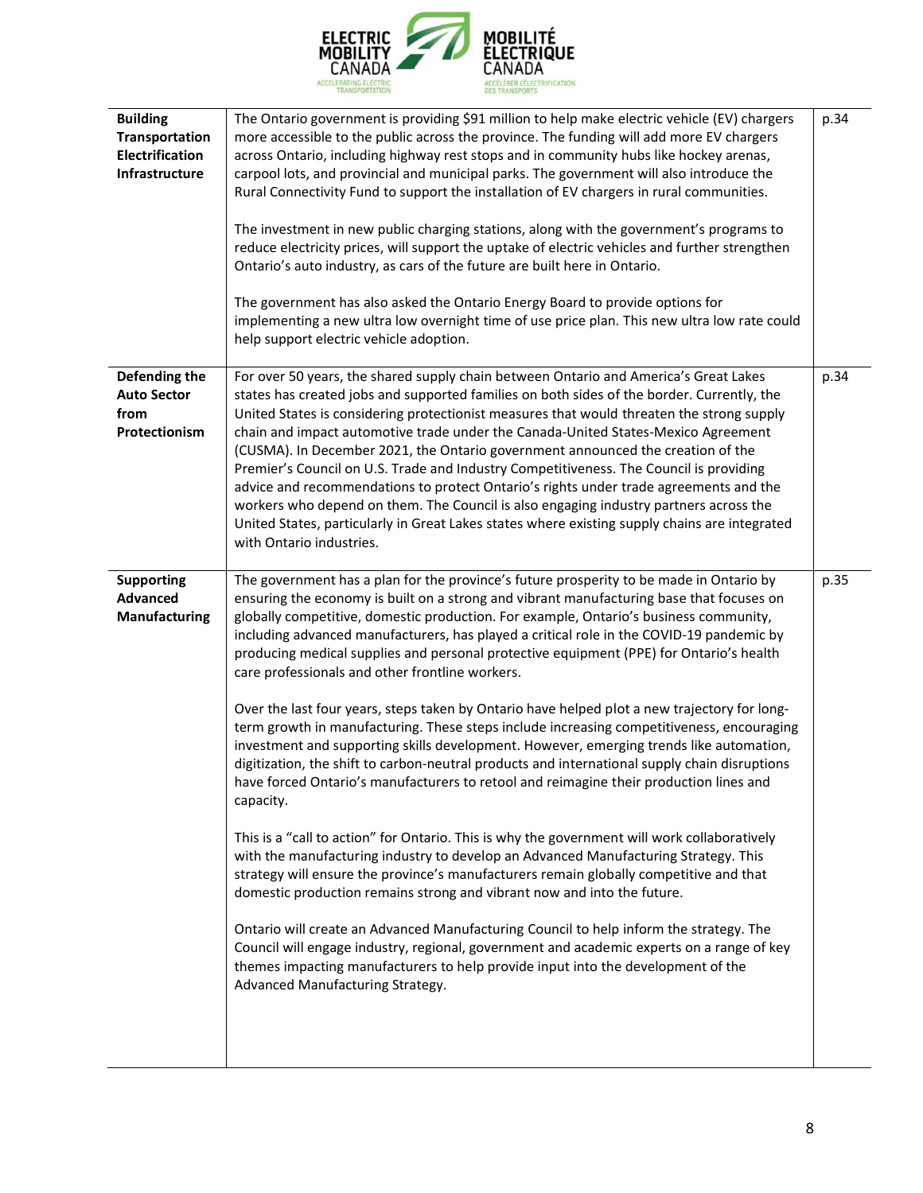

| <b>Building</b><br>Transportation<br><b>Electrification</b><br>Infrastructure | The Ontario government is providing \$91 million to help make electric vehicle (EV) chargers<br>more accessible to the public across the province. The funding will add more EV chargers<br>across Ontario, including highway rest stops and in community hubs like hockey arenas,<br>carpool lots, and provincial and municipal parks. The government will also introduce the<br>Rural Connectivity Fund to support the installation of EV chargers in rural communities.<br>The investment in new public charging stations, along with the government's programs to<br>reduce electricity prices, will support the uptake of electric vehicles and further strengthen<br>Ontario's auto industry, as cars of the future are built here in Ontario.<br>The government has also asked the Ontario Energy Board to provide options for<br>implementing a new ultra low overnight time of use price plan. This new ultra low rate could<br>help support electric vehicle adoption.                                                                                                                                                                                                                                                                                                                                                                                                                                                                                                                                                                                                                                                                                                                  | p.34 |
|-------------------------------------------------------------------------------|---------------------------------------------------------------------------------------------------------------------------------------------------------------------------------------------------------------------------------------------------------------------------------------------------------------------------------------------------------------------------------------------------------------------------------------------------------------------------------------------------------------------------------------------------------------------------------------------------------------------------------------------------------------------------------------------------------------------------------------------------------------------------------------------------------------------------------------------------------------------------------------------------------------------------------------------------------------------------------------------------------------------------------------------------------------------------------------------------------------------------------------------------------------------------------------------------------------------------------------------------------------------------------------------------------------------------------------------------------------------------------------------------------------------------------------------------------------------------------------------------------------------------------------------------------------------------------------------------------------------------------------------------------------------------------------------------|------|
| Defending the<br><b>Auto Sector</b><br>from<br>Protectionism                  | For over 50 years, the shared supply chain between Ontario and America's Great Lakes<br>states has created jobs and supported families on both sides of the border. Currently, the<br>United States is considering protectionist measures that would threaten the strong supply<br>chain and impact automotive trade under the Canada-United States-Mexico Agreement<br>(CUSMA). In December 2021, the Ontario government announced the creation of the<br>Premier's Council on U.S. Trade and Industry Competitiveness. The Council is providing<br>advice and recommendations to protect Ontario's rights under trade agreements and the<br>workers who depend on them. The Council is also engaging industry partners across the<br>United States, particularly in Great Lakes states where existing supply chains are integrated<br>with Ontario industries.                                                                                                                                                                                                                                                                                                                                                                                                                                                                                                                                                                                                                                                                                                                                                                                                                                  | p.34 |
| <b>Supporting</b><br><b>Advanced</b><br>Manufacturing                         | The government has a plan for the province's future prosperity to be made in Ontario by<br>ensuring the economy is built on a strong and vibrant manufacturing base that focuses on<br>globally competitive, domestic production. For example, Ontario's business community,<br>including advanced manufacturers, has played a critical role in the COVID-19 pandemic by<br>producing medical supplies and personal protective equipment (PPE) for Ontario's health<br>care professionals and other frontline workers.<br>Over the last four years, steps taken by Ontario have helped plot a new trajectory for long-<br>term growth in manufacturing. These steps include increasing competitiveness, encouraging<br>investment and supporting skills development. However, emerging trends like automation,<br>digitization, the shift to carbon-neutral products and international supply chain disruptions<br>have forced Ontario's manufacturers to retool and reimagine their production lines and<br>capacity.<br>This is a "call to action" for Ontario. This is why the government will work collaboratively<br>with the manufacturing industry to develop an Advanced Manufacturing Strategy. This<br>strategy will ensure the province's manufacturers remain globally competitive and that<br>domestic production remains strong and vibrant now and into the future.<br>Ontario will create an Advanced Manufacturing Council to help inform the strategy. The<br>Council will engage industry, regional, government and academic experts on a range of key<br>themes impacting manufacturers to help provide input into the development of the<br>Advanced Manufacturing Strategy. | p.35 |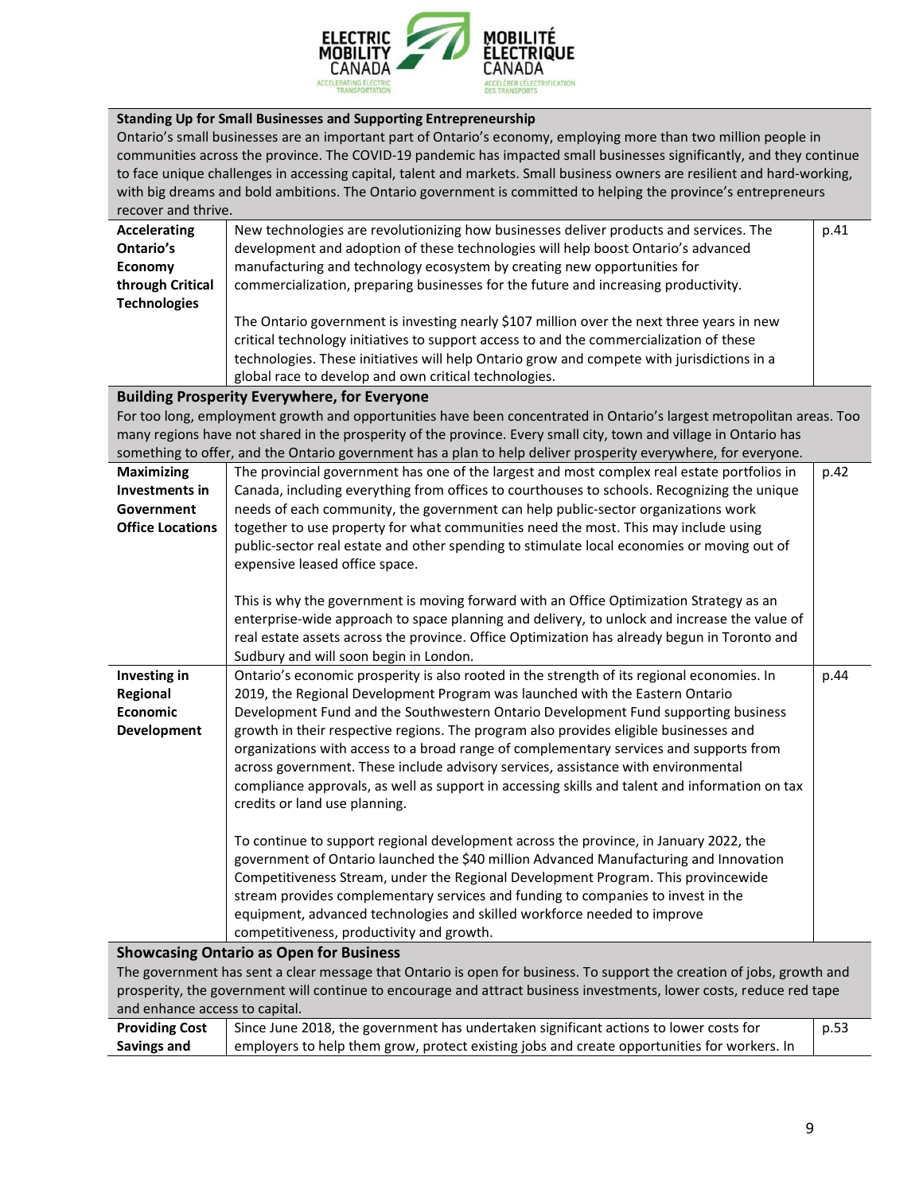

## **Standing Up for Small Businesses and Supporting Entrepreneurship**

Ontario's small businesses are an important part of Ontario's economy, employing more than two million people in communities across the province. The COVID‐19 pandemic has impacted small businesses significantly, and they continue to face unique challenges in accessing capital, talent and markets. Small business owners are resilient and hard-working, with big dreams and bold ambitions. The Ontario government is committed to helping the province's entrepreneurs recover and thrive.

| <b>Accelerating</b>     | New technologies are revolutionizing how businesses deliver products and services. The                                 | p.41 |  |
|-------------------------|------------------------------------------------------------------------------------------------------------------------|------|--|
| Ontario's               | development and adoption of these technologies will help boost Ontario's advanced                                      |      |  |
| <b>Economy</b>          | manufacturing and technology ecosystem by creating new opportunities for                                               |      |  |
| through Critical        | commercialization, preparing businesses for the future and increasing productivity.                                    |      |  |
| <b>Technologies</b>     |                                                                                                                        |      |  |
|                         | The Ontario government is investing nearly \$107 million over the next three years in new                              |      |  |
|                         | critical technology initiatives to support access to and the commercialization of these                                |      |  |
|                         | technologies. These initiatives will help Ontario grow and compete with jurisdictions in a                             |      |  |
|                         | global race to develop and own critical technologies.                                                                  |      |  |
|                         | <b>Building Prosperity Everywhere, for Everyone</b>                                                                    |      |  |
|                         | For too long, employment growth and opportunities have been concentrated in Ontario's largest metropolitan areas. Too  |      |  |
|                         | many regions have not shared in the prosperity of the province. Every small city, town and village in Ontario has      |      |  |
|                         | something to offer, and the Ontario government has a plan to help deliver prosperity everywhere, for everyone.         |      |  |
| <b>Maximizing</b>       | The provincial government has one of the largest and most complex real estate portfolios in                            | p.42 |  |
| Investments in          | Canada, including everything from offices to courthouses to schools. Recognizing the unique                            |      |  |
| Government              | needs of each community, the government can help public-sector organizations work                                      |      |  |
| <b>Office Locations</b> | together to use property for what communities need the most. This may include using                                    |      |  |
|                         | public-sector real estate and other spending to stimulate local economies or moving out of                             |      |  |
|                         | expensive leased office space.                                                                                         |      |  |
|                         |                                                                                                                        |      |  |
|                         | This is why the government is moving forward with an Office Optimization Strategy as an                                |      |  |
|                         | enterprise-wide approach to space planning and delivery, to unlock and increase the value of                           |      |  |
|                         | real estate assets across the province. Office Optimization has already begun in Toronto and                           |      |  |
|                         | Sudbury and will soon begin in London.                                                                                 |      |  |
| Investing in            | Ontario's economic prosperity is also rooted in the strength of its regional economies. In                             | p.44 |  |
| Regional                | 2019, the Regional Development Program was launched with the Eastern Ontario                                           |      |  |
| Economic                | Development Fund and the Southwestern Ontario Development Fund supporting business                                     |      |  |
| Development             | growth in their respective regions. The program also provides eligible businesses and                                  |      |  |
|                         | organizations with access to a broad range of complementary services and supports from                                 |      |  |
|                         | across government. These include advisory services, assistance with environmental                                      |      |  |
|                         | compliance approvals, as well as support in accessing skills and talent and information on tax                         |      |  |
|                         | credits or land use planning.                                                                                          |      |  |
|                         |                                                                                                                        |      |  |
|                         | To continue to support regional development across the province, in January 2022, the                                  |      |  |
|                         | government of Ontario launched the \$40 million Advanced Manufacturing and Innovation                                  |      |  |
|                         | Competitiveness Stream, under the Regional Development Program. This provincewide                                      |      |  |
|                         | stream provides complementary services and funding to companies to invest in the                                       |      |  |
|                         | equipment, advanced technologies and skilled workforce needed to improve                                               |      |  |
|                         | competitiveness, productivity and growth.                                                                              |      |  |
|                         | <b>Showcasing Ontario as Open for Business</b>                                                                         |      |  |
|                         | The government has sent a clear message that Ontario is open for business. To support the creation of jobs, growth and |      |  |
|                         | prosperity, the government will continue to encourage and attract business investments, lower costs, reduce red tape   |      |  |
|                         | and enhance access to capital.                                                                                         |      |  |
| <b>Providing Cost</b>   | Since June 2018, the government has undertaken significant actions to lower costs for                                  | p.53 |  |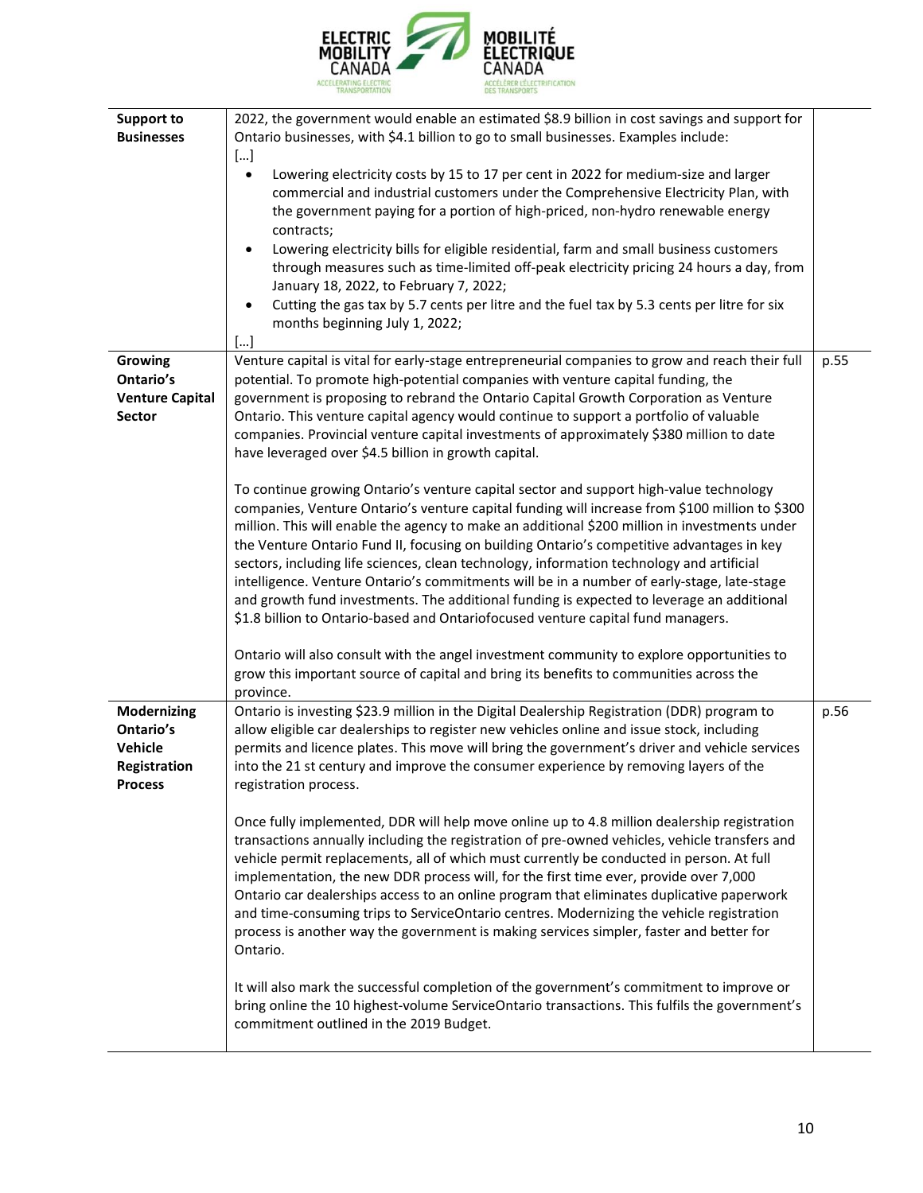

| <b>Support to</b><br><b>Businesses</b>                                | 2022, the government would enable an estimated \$8.9 billion in cost savings and support for<br>Ontario businesses, with \$4.1 billion to go to small businesses. Examples include:<br>$[]$<br>Lowering electricity costs by 15 to 17 per cent in 2022 for medium-size and larger<br>$\bullet$<br>commercial and industrial customers under the Comprehensive Electricity Plan, with<br>the government paying for a portion of high-priced, non-hydro renewable energy<br>contracts;<br>Lowering electricity bills for eligible residential, farm and small business customers<br>$\bullet$<br>through measures such as time-limited off-peak electricity pricing 24 hours a day, from<br>January 18, 2022, to February 7, 2022;<br>Cutting the gas tax by 5.7 cents per litre and the fuel tax by 5.3 cents per litre for six<br>months beginning July 1, 2022;<br>[] |      |
|-----------------------------------------------------------------------|------------------------------------------------------------------------------------------------------------------------------------------------------------------------------------------------------------------------------------------------------------------------------------------------------------------------------------------------------------------------------------------------------------------------------------------------------------------------------------------------------------------------------------------------------------------------------------------------------------------------------------------------------------------------------------------------------------------------------------------------------------------------------------------------------------------------------------------------------------------------|------|
| <b>Growing</b>                                                        | Venture capital is vital for early-stage entrepreneurial companies to grow and reach their full                                                                                                                                                                                                                                                                                                                                                                                                                                                                                                                                                                                                                                                                                                                                                                        | p.55 |
| Ontario's<br><b>Venture Capital</b>                                   | potential. To promote high-potential companies with venture capital funding, the<br>government is proposing to rebrand the Ontario Capital Growth Corporation as Venture                                                                                                                                                                                                                                                                                                                                                                                                                                                                                                                                                                                                                                                                                               |      |
| Sector                                                                | Ontario. This venture capital agency would continue to support a portfolio of valuable<br>companies. Provincial venture capital investments of approximately \$380 million to date<br>have leveraged over \$4.5 billion in growth capital.                                                                                                                                                                                                                                                                                                                                                                                                                                                                                                                                                                                                                             |      |
|                                                                       | To continue growing Ontario's venture capital sector and support high-value technology<br>companies, Venture Ontario's venture capital funding will increase from \$100 million to \$300<br>million. This will enable the agency to make an additional \$200 million in investments under<br>the Venture Ontario Fund II, focusing on building Ontario's competitive advantages in key<br>sectors, including life sciences, clean technology, information technology and artificial<br>intelligence. Venture Ontario's commitments will be in a number of early-stage, late-stage<br>and growth fund investments. The additional funding is expected to leverage an additional<br>\$1.8 billion to Ontario-based and Ontariofocused venture capital fund managers.                                                                                                     |      |
|                                                                       | Ontario will also consult with the angel investment community to explore opportunities to<br>grow this important source of capital and bring its benefits to communities across the<br>province.                                                                                                                                                                                                                                                                                                                                                                                                                                                                                                                                                                                                                                                                       |      |
| Modernizing<br>Ontario's<br>Vehicle<br>Registration<br><b>Process</b> | Ontario is investing \$23.9 million in the Digital Dealership Registration (DDR) program to<br>allow eligible car dealerships to register new vehicles online and issue stock, including<br>permits and licence plates. This move will bring the government's driver and vehicle services<br>into the 21 st century and improve the consumer experience by removing layers of the<br>registration process.                                                                                                                                                                                                                                                                                                                                                                                                                                                             | p.56 |
|                                                                       | Once fully implemented, DDR will help move online up to 4.8 million dealership registration<br>transactions annually including the registration of pre-owned vehicles, vehicle transfers and<br>vehicle permit replacements, all of which must currently be conducted in person. At full<br>implementation, the new DDR process will, for the first time ever, provide over 7,000<br>Ontario car dealerships access to an online program that eliminates duplicative paperwork<br>and time-consuming trips to ServiceOntario centres. Modernizing the vehicle registration<br>process is another way the government is making services simpler, faster and better for<br>Ontario.                                                                                                                                                                                      |      |
|                                                                       | It will also mark the successful completion of the government's commitment to improve or<br>bring online the 10 highest-volume ServiceOntario transactions. This fulfils the government's<br>commitment outlined in the 2019 Budget.                                                                                                                                                                                                                                                                                                                                                                                                                                                                                                                                                                                                                                   |      |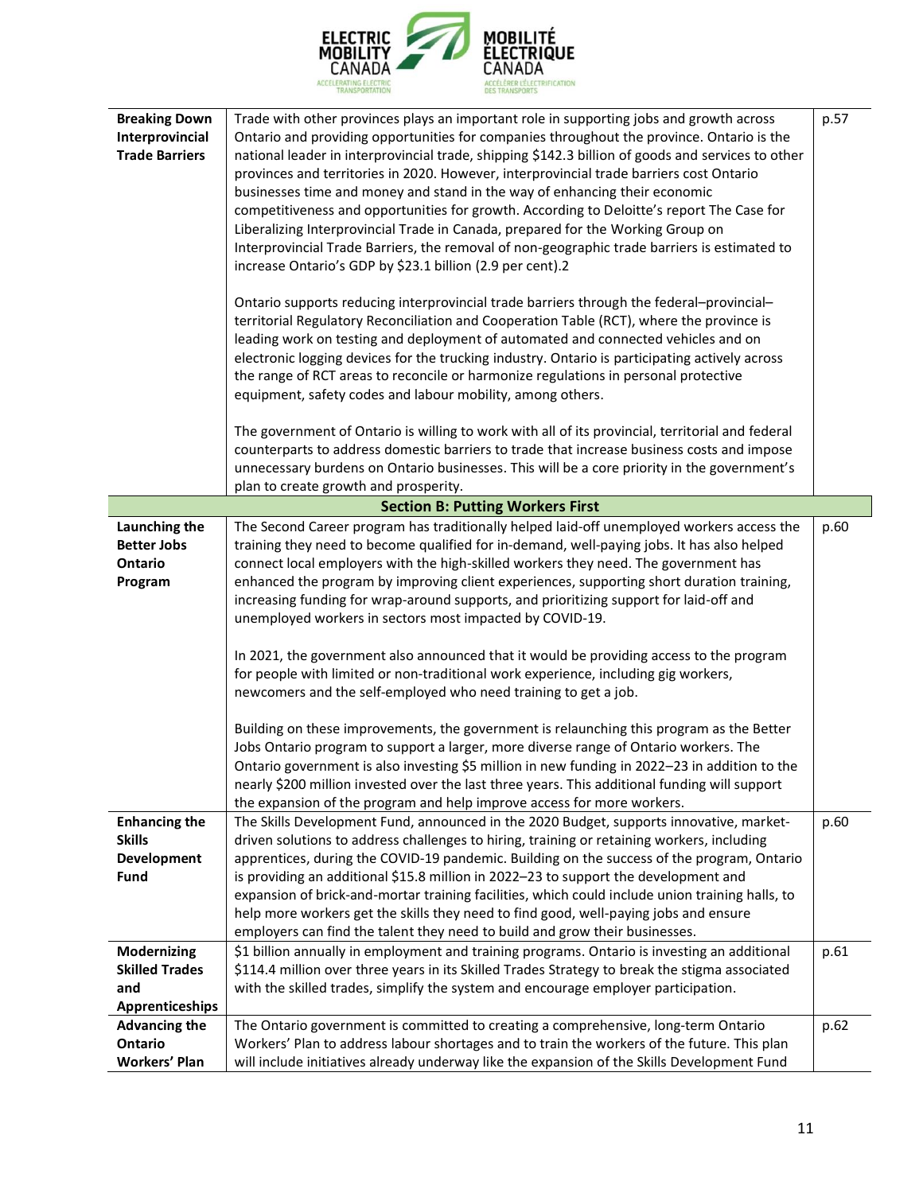

| <b>Breaking Down</b><br>Interprovincial<br><b>Trade Barriers</b>                                                   | Trade with other provinces plays an important role in supporting jobs and growth across<br>Ontario and providing opportunities for companies throughout the province. Ontario is the<br>national leader in interprovincial trade, shipping \$142.3 billion of goods and services to other<br>provinces and territories in 2020. However, interprovincial trade barriers cost Ontario<br>businesses time and money and stand in the way of enhancing their economic<br>competitiveness and opportunities for growth. According to Deloitte's report The Case for<br>Liberalizing Interprovincial Trade in Canada, prepared for the Working Group on<br>Interprovincial Trade Barriers, the removal of non-geographic trade barriers is estimated to<br>increase Ontario's GDP by \$23.1 billion (2.9 per cent).2<br>Ontario supports reducing interprovincial trade barriers through the federal-provincial-<br>territorial Regulatory Reconciliation and Cooperation Table (RCT), where the province is<br>leading work on testing and deployment of automated and connected vehicles and on<br>electronic logging devices for the trucking industry. Ontario is participating actively across<br>the range of RCT areas to reconcile or harmonize regulations in personal protective<br>equipment, safety codes and labour mobility, among others. | p.57         |
|--------------------------------------------------------------------------------------------------------------------|-----------------------------------------------------------------------------------------------------------------------------------------------------------------------------------------------------------------------------------------------------------------------------------------------------------------------------------------------------------------------------------------------------------------------------------------------------------------------------------------------------------------------------------------------------------------------------------------------------------------------------------------------------------------------------------------------------------------------------------------------------------------------------------------------------------------------------------------------------------------------------------------------------------------------------------------------------------------------------------------------------------------------------------------------------------------------------------------------------------------------------------------------------------------------------------------------------------------------------------------------------------------------------------------------------------------------------------------------------|--------------|
|                                                                                                                    | The government of Ontario is willing to work with all of its provincial, territorial and federal<br>counterparts to address domestic barriers to trade that increase business costs and impose<br>unnecessary burdens on Ontario businesses. This will be a core priority in the government's<br>plan to create growth and prosperity.                                                                                                                                                                                                                                                                                                                                                                                                                                                                                                                                                                                                                                                                                                                                                                                                                                                                                                                                                                                                              |              |
|                                                                                                                    |                                                                                                                                                                                                                                                                                                                                                                                                                                                                                                                                                                                                                                                                                                                                                                                                                                                                                                                                                                                                                                                                                                                                                                                                                                                                                                                                                     |              |
| Launching the<br><b>Better Jobs</b><br>Ontario<br>Program                                                          | <b>Section B: Putting Workers First</b><br>The Second Career program has traditionally helped laid-off unemployed workers access the<br>training they need to become qualified for in-demand, well-paying jobs. It has also helped<br>connect local employers with the high-skilled workers they need. The government has<br>enhanced the program by improving client experiences, supporting short duration training,<br>increasing funding for wrap-around supports, and prioritizing support for laid-off and<br>unemployed workers in sectors most impacted by COVID-19.<br>In 2021, the government also announced that it would be providing access to the program<br>for people with limited or non-traditional work experience, including gig workers,<br>newcomers and the self-employed who need training to get a job.<br>Building on these improvements, the government is relaunching this program as the Better<br>Jobs Ontario program to support a larger, more diverse range of Ontario workers. The<br>Ontario government is also investing \$5 million in new funding in 2022-23 in addition to the<br>nearly \$200 million invested over the last three years. This additional funding will support<br>the expansion of the program and help improve access for more workers.                                                    | p.60         |
| <b>Enhancing the</b><br><b>Skills</b><br>Development<br><b>Fund</b><br><b>Modernizing</b><br><b>Skilled Trades</b> | The Skills Development Fund, announced in the 2020 Budget, supports innovative, market-<br>driven solutions to address challenges to hiring, training or retaining workers, including<br>apprentices, during the COVID-19 pandemic. Building on the success of the program, Ontario<br>is providing an additional \$15.8 million in 2022-23 to support the development and<br>expansion of brick-and-mortar training facilities, which could include union training halls, to<br>help more workers get the skills they need to find good, well-paying jobs and ensure<br>employers can find the talent they need to build and grow their businesses.<br>\$1 billion annually in employment and training programs. Ontario is investing an additional<br>\$114.4 million over three years in its Skilled Trades Strategy to break the stigma associated                                                                                                                                                                                                                                                                                                                                                                                                                                                                                              | p.60<br>p.61 |
| and<br><b>Apprenticeships</b>                                                                                      | with the skilled trades, simplify the system and encourage employer participation.                                                                                                                                                                                                                                                                                                                                                                                                                                                                                                                                                                                                                                                                                                                                                                                                                                                                                                                                                                                                                                                                                                                                                                                                                                                                  |              |
| <b>Advancing the</b><br>Ontario<br><b>Workers' Plan</b>                                                            | The Ontario government is committed to creating a comprehensive, long-term Ontario<br>Workers' Plan to address labour shortages and to train the workers of the future. This plan<br>will include initiatives already underway like the expansion of the Skills Development Fund                                                                                                                                                                                                                                                                                                                                                                                                                                                                                                                                                                                                                                                                                                                                                                                                                                                                                                                                                                                                                                                                    | p.62         |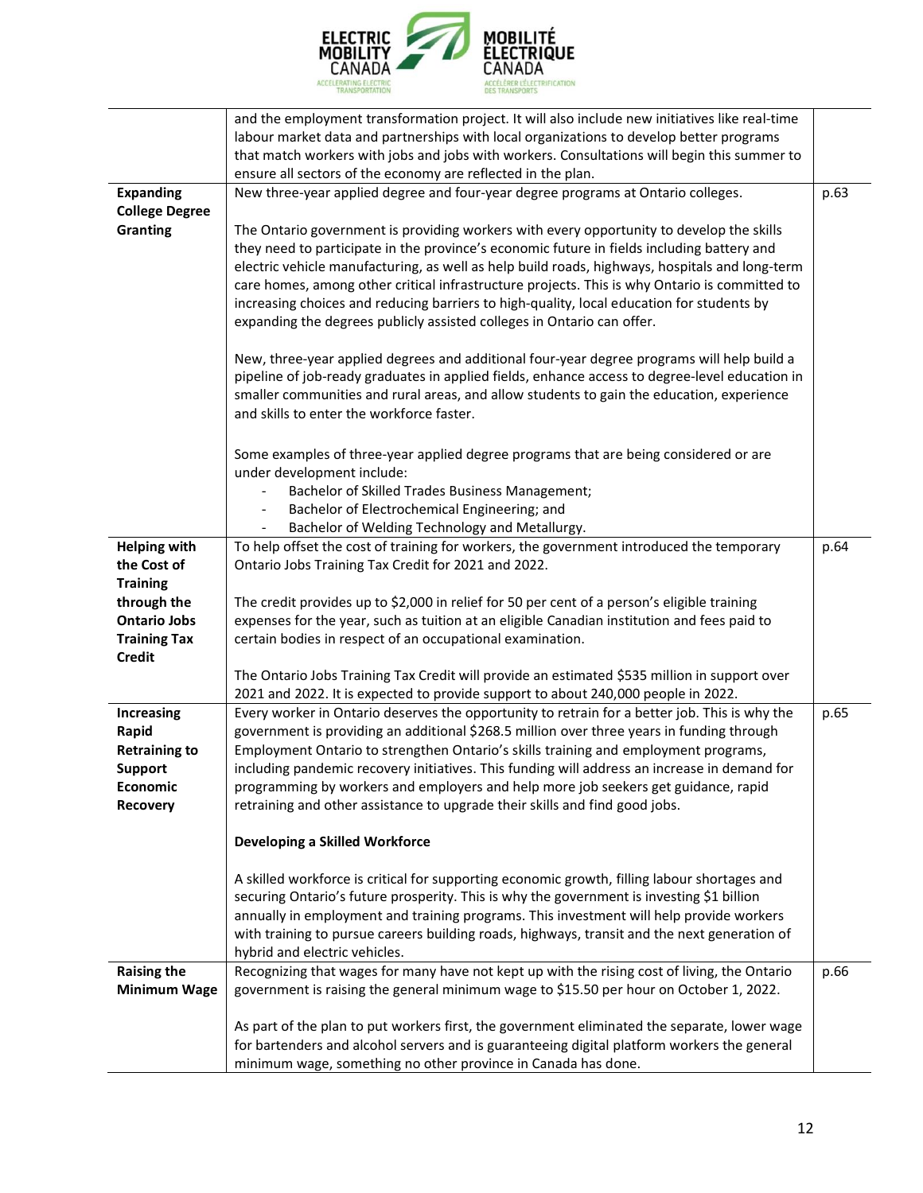

|                       | and the employment transformation project. It will also include new initiatives like real-time |      |
|-----------------------|------------------------------------------------------------------------------------------------|------|
|                       | labour market data and partnerships with local organizations to develop better programs        |      |
|                       | that match workers with jobs and jobs with workers. Consultations will begin this summer to    |      |
|                       | ensure all sectors of the economy are reflected in the plan.                                   |      |
| <b>Expanding</b>      | New three-year applied degree and four-year degree programs at Ontario colleges.               | p.63 |
| <b>College Degree</b> |                                                                                                |      |
| <b>Granting</b>       | The Ontario government is providing workers with every opportunity to develop the skills       |      |
|                       | they need to participate in the province's economic future in fields including battery and     |      |
|                       | electric vehicle manufacturing, as well as help build roads, highways, hospitals and long-term |      |
|                       | care homes, among other critical infrastructure projects. This is why Ontario is committed to  |      |
|                       | increasing choices and reducing barriers to high-quality, local education for students by      |      |
|                       | expanding the degrees publicly assisted colleges in Ontario can offer.                         |      |
|                       | New, three-year applied degrees and additional four-year degree programs will help build a     |      |
|                       | pipeline of job-ready graduates in applied fields, enhance access to degree-level education in |      |
|                       | smaller communities and rural areas, and allow students to gain the education, experience      |      |
|                       | and skills to enter the workforce faster.                                                      |      |
|                       |                                                                                                |      |
|                       | Some examples of three-year applied degree programs that are being considered or are           |      |
|                       | under development include:                                                                     |      |
|                       | Bachelor of Skilled Trades Business Management;                                                |      |
|                       | Bachelor of Electrochemical Engineering; and                                                   |      |
|                       | Bachelor of Welding Technology and Metallurgy.                                                 |      |
| <b>Helping with</b>   | To help offset the cost of training for workers, the government introduced the temporary       | p.64 |
| the Cost of           | Ontario Jobs Training Tax Credit for 2021 and 2022.                                            |      |
| <b>Training</b>       |                                                                                                |      |
| through the           | The credit provides up to \$2,000 in relief for 50 per cent of a person's eligible training    |      |
| <b>Ontario Jobs</b>   | expenses for the year, such as tuition at an eligible Canadian institution and fees paid to    |      |
| <b>Training Tax</b>   | certain bodies in respect of an occupational examination.                                      |      |
| <b>Credit</b>         |                                                                                                |      |
|                       | The Ontario Jobs Training Tax Credit will provide an estimated \$535 million in support over   |      |
|                       | 2021 and 2022. It is expected to provide support to about 240,000 people in 2022.              |      |
| Increasing            | Every worker in Ontario deserves the opportunity to retrain for a better job. This is why the  | p.65 |
| Rapid                 | government is providing an additional \$268.5 million over three years in funding through      |      |
| <b>Retraining to</b>  | Employment Ontario to strengthen Ontario's skills training and employment programs,            |      |
| <b>Support</b>        | including pandemic recovery initiatives. This funding will address an increase in demand for   |      |
| Economic              | programming by workers and employers and help more job seekers get guidance, rapid             |      |
| Recovery              | retraining and other assistance to upgrade their skills and find good jobs.                    |      |
|                       | Developing a Skilled Workforce                                                                 |      |
|                       | A skilled workforce is critical for supporting economic growth, filling labour shortages and   |      |
|                       | securing Ontario's future prosperity. This is why the government is investing \$1 billion      |      |
|                       | annually in employment and training programs. This investment will help provide workers        |      |
|                       | with training to pursue careers building roads, highways, transit and the next generation of   |      |
|                       | hybrid and electric vehicles.                                                                  |      |
| <b>Raising the</b>    | Recognizing that wages for many have not kept up with the rising cost of living, the Ontario   | p.66 |
| <b>Minimum Wage</b>   | government is raising the general minimum wage to \$15.50 per hour on October 1, 2022.         |      |
|                       |                                                                                                |      |
|                       | As part of the plan to put workers first, the government eliminated the separate, lower wage   |      |
|                       | for bartenders and alcohol servers and is guaranteeing digital platform workers the general    |      |
|                       | minimum wage, something no other province in Canada has done.                                  |      |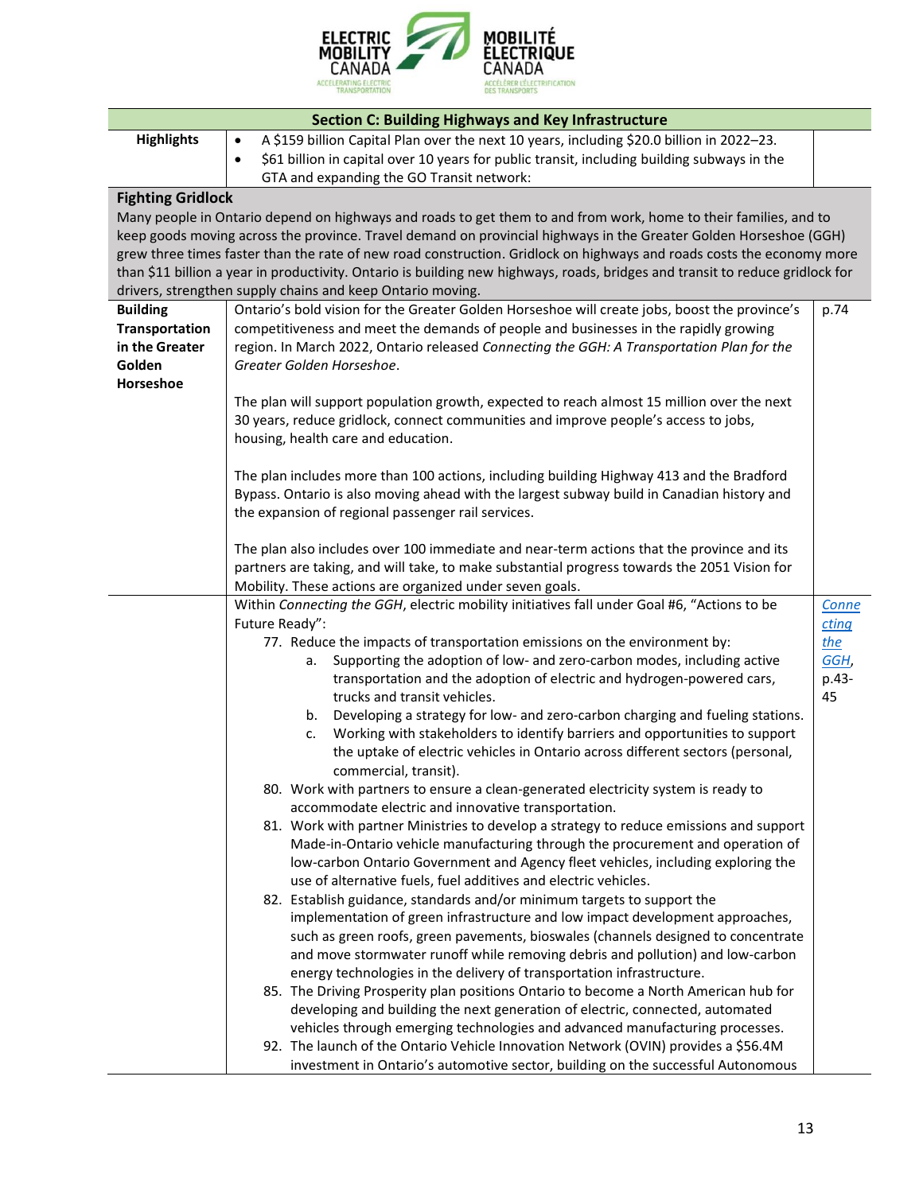

| <b>Section C: Building Highways and Key Infrastructure</b> |                                                                                                                                                          |       |
|------------------------------------------------------------|----------------------------------------------------------------------------------------------------------------------------------------------------------|-------|
| <b>Highlights</b>                                          | A \$159 billion Capital Plan over the next 10 years, including \$20.0 billion in 2022-23.<br>$\bullet$                                                   |       |
|                                                            | \$61 billion in capital over 10 years for public transit, including building subways in the<br>$\bullet$                                                 |       |
|                                                            | GTA and expanding the GO Transit network:                                                                                                                |       |
| <b>Fighting Gridlock</b>                                   |                                                                                                                                                          |       |
|                                                            | Many people in Ontario depend on highways and roads to get them to and from work, home to their families, and to                                         |       |
|                                                            | keep goods moving across the province. Travel demand on provincial highways in the Greater Golden Horseshoe (GGH)                                        |       |
|                                                            | grew three times faster than the rate of new road construction. Gridlock on highways and roads costs the economy more                                    |       |
|                                                            | than \$11 billion a year in productivity. Ontario is building new highways, roads, bridges and transit to reduce gridlock for                            |       |
|                                                            | drivers, strengthen supply chains and keep Ontario moving.                                                                                               |       |
| <b>Building</b>                                            | Ontario's bold vision for the Greater Golden Horseshoe will create jobs, boost the province's                                                            | p.74  |
| Transportation                                             | competitiveness and meet the demands of people and businesses in the rapidly growing                                                                     |       |
| in the Greater                                             | region. In March 2022, Ontario released Connecting the GGH: A Transportation Plan for the<br>Greater Golden Horseshoe.                                   |       |
| Golden<br>Horseshoe                                        |                                                                                                                                                          |       |
|                                                            | The plan will support population growth, expected to reach almost 15 million over the next                                                               |       |
|                                                            | 30 years, reduce gridlock, connect communities and improve people's access to jobs,                                                                      |       |
|                                                            | housing, health care and education.                                                                                                                      |       |
|                                                            |                                                                                                                                                          |       |
|                                                            | The plan includes more than 100 actions, including building Highway 413 and the Bradford                                                                 |       |
|                                                            | Bypass. Ontario is also moving ahead with the largest subway build in Canadian history and                                                               |       |
|                                                            | the expansion of regional passenger rail services.                                                                                                       |       |
|                                                            |                                                                                                                                                          |       |
|                                                            | The plan also includes over 100 immediate and near-term actions that the province and its                                                                |       |
|                                                            | partners are taking, and will take, to make substantial progress towards the 2051 Vision for<br>Mobility. These actions are organized under seven goals. |       |
|                                                            | Within Connecting the GGH, electric mobility initiatives fall under Goal #6, "Actions to be                                                              | Conne |
|                                                            | Future Ready":                                                                                                                                           | cting |
|                                                            | 77. Reduce the impacts of transportation emissions on the environment by:                                                                                | the   |
|                                                            | Supporting the adoption of low- and zero-carbon modes, including active<br>а.                                                                            | GGH,  |
|                                                            | transportation and the adoption of electric and hydrogen-powered cars,                                                                                   | p.43- |
|                                                            | trucks and transit vehicles.                                                                                                                             | 45    |
|                                                            | Developing a strategy for low- and zero-carbon charging and fueling stations.<br>b.                                                                      |       |
|                                                            | Working with stakeholders to identify barriers and opportunities to support<br>c.                                                                        |       |
|                                                            | the uptake of electric vehicles in Ontario across different sectors (personal,                                                                           |       |
|                                                            | commercial, transit).                                                                                                                                    |       |
|                                                            | 80. Work with partners to ensure a clean-generated electricity system is ready to                                                                        |       |
|                                                            | accommodate electric and innovative transportation.<br>81. Work with partner Ministries to develop a strategy to reduce emissions and support            |       |
|                                                            | Made-in-Ontario vehicle manufacturing through the procurement and operation of                                                                           |       |
|                                                            | low-carbon Ontario Government and Agency fleet vehicles, including exploring the                                                                         |       |
|                                                            | use of alternative fuels, fuel additives and electric vehicles.                                                                                          |       |
|                                                            | 82. Establish guidance, standards and/or minimum targets to support the                                                                                  |       |
|                                                            | implementation of green infrastructure and low impact development approaches,                                                                            |       |
|                                                            | such as green roofs, green pavements, bioswales (channels designed to concentrate                                                                        |       |
|                                                            | and move stormwater runoff while removing debris and pollution) and low-carbon                                                                           |       |
|                                                            | energy technologies in the delivery of transportation infrastructure.                                                                                    |       |
|                                                            | 85. The Driving Prosperity plan positions Ontario to become a North American hub for                                                                     |       |
|                                                            | developing and building the next generation of electric, connected, automated                                                                            |       |
|                                                            | vehicles through emerging technologies and advanced manufacturing processes.                                                                             |       |
|                                                            | 92. The launch of the Ontario Vehicle Innovation Network (OVIN) provides a \$56.4M                                                                       |       |
|                                                            | investment in Ontario's automotive sector, building on the successful Autonomous                                                                         |       |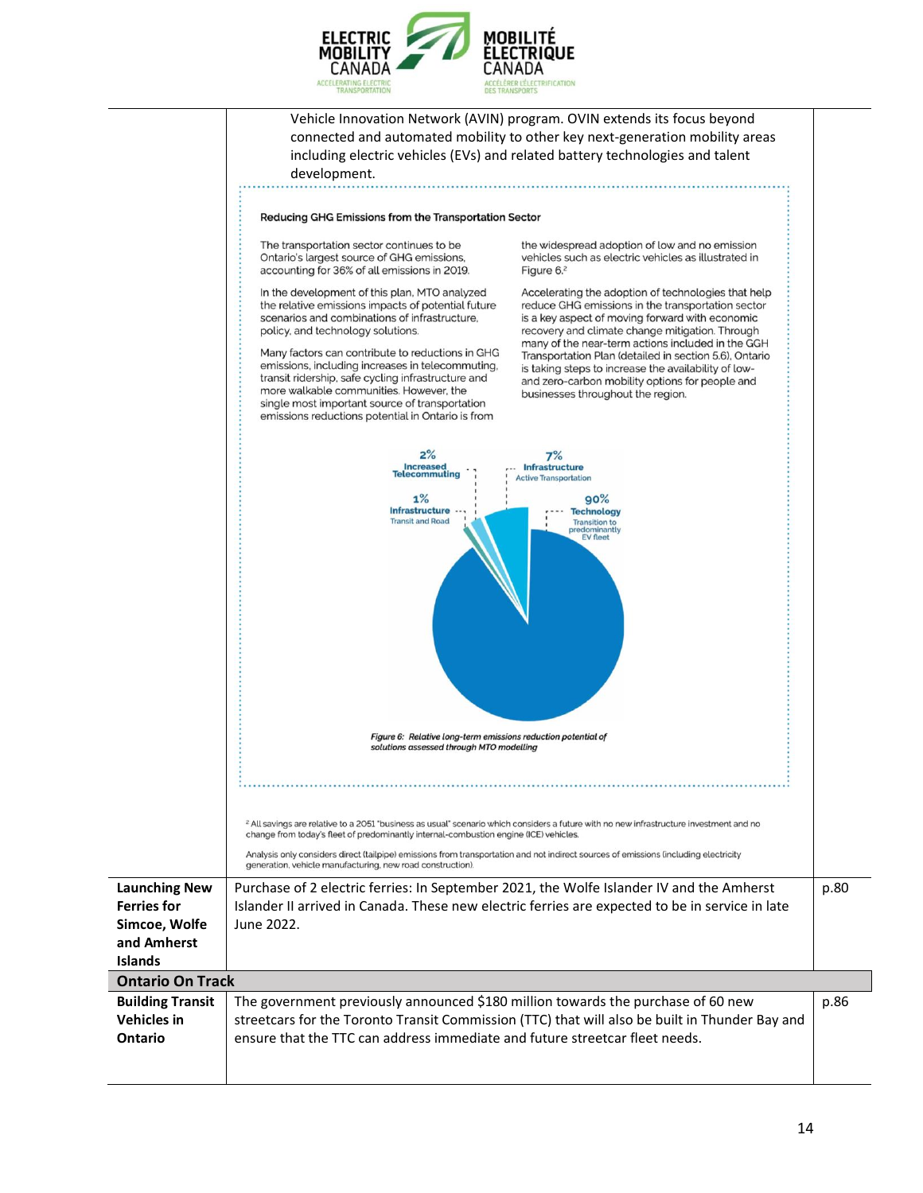

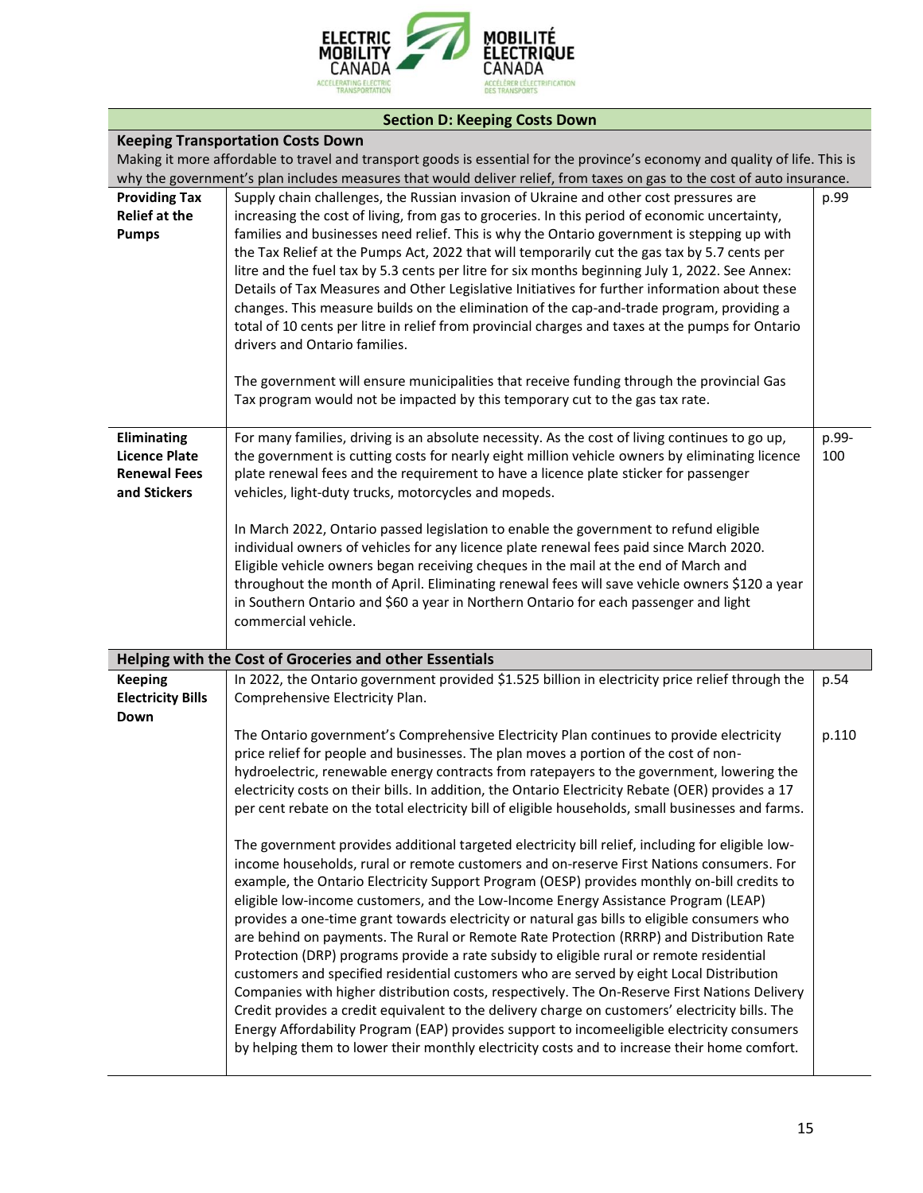

# **Section D: Keeping Costs Down**

| <b>Keeping Transportation Costs Down</b>                                                                                     |                                                                                                                                                                                                                                                                                                                                                                                                                                                                                                                                                                                                                                                                                                                                                                                                                                                                                                                                                                                                                                                                                                                                                                                                                                                                  |              |  |  |
|------------------------------------------------------------------------------------------------------------------------------|------------------------------------------------------------------------------------------------------------------------------------------------------------------------------------------------------------------------------------------------------------------------------------------------------------------------------------------------------------------------------------------------------------------------------------------------------------------------------------------------------------------------------------------------------------------------------------------------------------------------------------------------------------------------------------------------------------------------------------------------------------------------------------------------------------------------------------------------------------------------------------------------------------------------------------------------------------------------------------------------------------------------------------------------------------------------------------------------------------------------------------------------------------------------------------------------------------------------------------------------------------------|--------------|--|--|
| Making it more affordable to travel and transport goods is essential for the province's economy and quality of life. This is |                                                                                                                                                                                                                                                                                                                                                                                                                                                                                                                                                                                                                                                                                                                                                                                                                                                                                                                                                                                                                                                                                                                                                                                                                                                                  |              |  |  |
|                                                                                                                              | why the government's plan includes measures that would deliver relief, from taxes on gas to the cost of auto insurance.                                                                                                                                                                                                                                                                                                                                                                                                                                                                                                                                                                                                                                                                                                                                                                                                                                                                                                                                                                                                                                                                                                                                          |              |  |  |
| <b>Providing Tax</b><br><b>Relief at the</b><br><b>Pumps</b>                                                                 | Supply chain challenges, the Russian invasion of Ukraine and other cost pressures are<br>increasing the cost of living, from gas to groceries. In this period of economic uncertainty,<br>families and businesses need relief. This is why the Ontario government is stepping up with<br>the Tax Relief at the Pumps Act, 2022 that will temporarily cut the gas tax by 5.7 cents per<br>litre and the fuel tax by 5.3 cents per litre for six months beginning July 1, 2022. See Annex:<br>Details of Tax Measures and Other Legislative Initiatives for further information about these<br>changes. This measure builds on the elimination of the cap-and-trade program, providing a<br>total of 10 cents per litre in relief from provincial charges and taxes at the pumps for Ontario<br>drivers and Ontario families.<br>The government will ensure municipalities that receive funding through the provincial Gas                                                                                                                                                                                                                                                                                                                                         | p.99         |  |  |
|                                                                                                                              | Tax program would not be impacted by this temporary cut to the gas tax rate.                                                                                                                                                                                                                                                                                                                                                                                                                                                                                                                                                                                                                                                                                                                                                                                                                                                                                                                                                                                                                                                                                                                                                                                     |              |  |  |
| <b>Eliminating</b><br><b>Licence Plate</b><br><b>Renewal Fees</b><br>and Stickers                                            | For many families, driving is an absolute necessity. As the cost of living continues to go up,<br>the government is cutting costs for nearly eight million vehicle owners by eliminating licence<br>plate renewal fees and the requirement to have a licence plate sticker for passenger<br>vehicles, light-duty trucks, motorcycles and mopeds.<br>In March 2022, Ontario passed legislation to enable the government to refund eligible                                                                                                                                                                                                                                                                                                                                                                                                                                                                                                                                                                                                                                                                                                                                                                                                                        | p.99-<br>100 |  |  |
|                                                                                                                              | individual owners of vehicles for any licence plate renewal fees paid since March 2020.<br>Eligible vehicle owners began receiving cheques in the mail at the end of March and<br>throughout the month of April. Eliminating renewal fees will save vehicle owners \$120 a year<br>in Southern Ontario and \$60 a year in Northern Ontario for each passenger and light<br>commercial vehicle.                                                                                                                                                                                                                                                                                                                                                                                                                                                                                                                                                                                                                                                                                                                                                                                                                                                                   |              |  |  |
|                                                                                                                              | Helping with the Cost of Groceries and other Essentials                                                                                                                                                                                                                                                                                                                                                                                                                                                                                                                                                                                                                                                                                                                                                                                                                                                                                                                                                                                                                                                                                                                                                                                                          |              |  |  |
| <b>Keeping</b><br><b>Electricity Bills</b><br>Down                                                                           | In 2022, the Ontario government provided \$1.525 billion in electricity price relief through the<br>Comprehensive Electricity Plan.                                                                                                                                                                                                                                                                                                                                                                                                                                                                                                                                                                                                                                                                                                                                                                                                                                                                                                                                                                                                                                                                                                                              | p.54         |  |  |
|                                                                                                                              | The Ontario government's Comprehensive Electricity Plan continues to provide electricity<br>price relief for people and businesses. The plan moves a portion of the cost of non-<br>hydroelectric, renewable energy contracts from ratepayers to the government, lowering the<br>electricity costs on their bills. In addition, the Ontario Electricity Rebate (OER) provides a 17<br>per cent rebate on the total electricity bill of eligible households, small businesses and farms.<br>The government provides additional targeted electricity bill relief, including for eligible low-<br>income households, rural or remote customers and on-reserve First Nations consumers. For<br>example, the Ontario Electricity Support Program (OESP) provides monthly on-bill credits to<br>eligible low-income customers, and the Low-Income Energy Assistance Program (LEAP)<br>provides a one-time grant towards electricity or natural gas bills to eligible consumers who<br>are behind on payments. The Rural or Remote Rate Protection (RRRP) and Distribution Rate<br>Protection (DRP) programs provide a rate subsidy to eligible rural or remote residential<br>customers and specified residential customers who are served by eight Local Distribution | p.110        |  |  |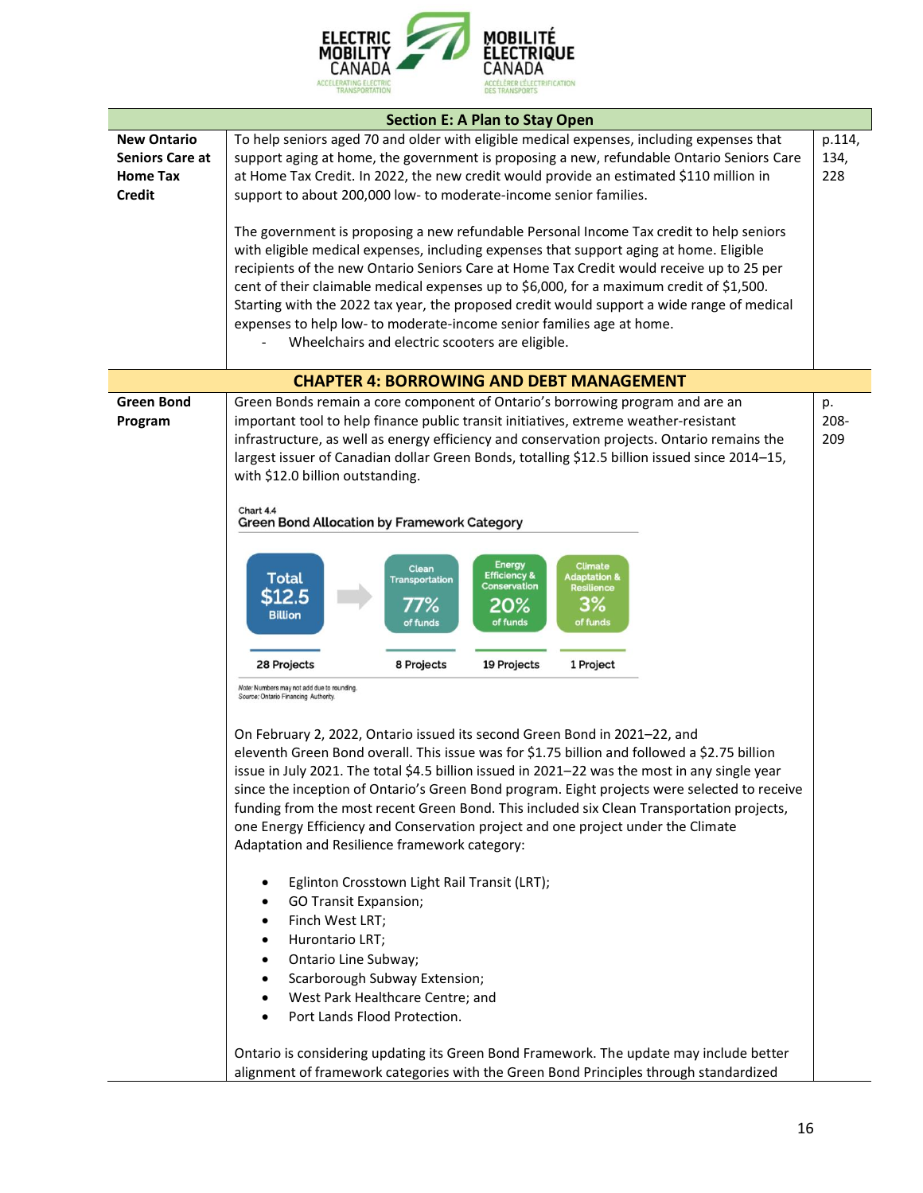

| <b>Section E: A Plan to Stay Open</b>     |                                                                                                                                                                                              |             |  |
|-------------------------------------------|----------------------------------------------------------------------------------------------------------------------------------------------------------------------------------------------|-------------|--|
| <b>New Ontario</b>                        | To help seniors aged 70 and older with eligible medical expenses, including expenses that                                                                                                    | p.114,      |  |
| <b>Seniors Care at</b><br><b>Home Tax</b> | support aging at home, the government is proposing a new, refundable Ontario Seniors Care<br>at Home Tax Credit. In 2022, the new credit would provide an estimated \$110 million in         | 134,<br>228 |  |
| <b>Credit</b>                             | support to about 200,000 low- to moderate-income senior families.                                                                                                                            |             |  |
|                                           |                                                                                                                                                                                              |             |  |
|                                           | The government is proposing a new refundable Personal Income Tax credit to help seniors                                                                                                      |             |  |
|                                           | with eligible medical expenses, including expenses that support aging at home. Eligible                                                                                                      |             |  |
|                                           | recipients of the new Ontario Seniors Care at Home Tax Credit would receive up to 25 per                                                                                                     |             |  |
|                                           | cent of their claimable medical expenses up to \$6,000, for a maximum credit of \$1,500.<br>Starting with the 2022 tax year, the proposed credit would support a wide range of medical       |             |  |
|                                           | expenses to help low- to moderate-income senior families age at home.                                                                                                                        |             |  |
|                                           | Wheelchairs and electric scooters are eligible.                                                                                                                                              |             |  |
|                                           |                                                                                                                                                                                              |             |  |
|                                           | <b>CHAPTER 4: BORROWING AND DEBT MANAGEMENT</b>                                                                                                                                              |             |  |
| <b>Green Bond</b>                         | Green Bonds remain a core component of Ontario's borrowing program and are an                                                                                                                | p.          |  |
| Program                                   | important tool to help finance public transit initiatives, extreme weather-resistant                                                                                                         | 208-        |  |
|                                           | infrastructure, as well as energy efficiency and conservation projects. Ontario remains the<br>largest issuer of Canadian dollar Green Bonds, totalling \$12.5 billion issued since 2014-15, | 209         |  |
|                                           | with \$12.0 billion outstanding.                                                                                                                                                             |             |  |
|                                           |                                                                                                                                                                                              |             |  |
|                                           | Chart 4.4<br><b>Green Bond Allocation by Framework Category</b>                                                                                                                              |             |  |
|                                           |                                                                                                                                                                                              |             |  |
|                                           | <b>Energy</b><br><b>Climate</b>                                                                                                                                                              |             |  |
|                                           | Clean<br><b>Efficiency &amp;</b><br><b>Adaptation &amp;</b><br><b>Total</b><br><b>Transportation</b><br><b>Conservation</b><br><b>Resilience</b>                                             |             |  |
|                                           | \$12.5<br>3%<br>77%<br>20%                                                                                                                                                                   |             |  |
|                                           | <b>Billion</b><br>of funds<br>of funds<br>of funds                                                                                                                                           |             |  |
|                                           |                                                                                                                                                                                              |             |  |
|                                           | 28 Projects<br>8 Projects<br>19 Projects<br>1 Project                                                                                                                                        |             |  |
|                                           | Note: Numbers may not add due to rounding.<br>Source: Ontario Financing Authority.                                                                                                           |             |  |
|                                           |                                                                                                                                                                                              |             |  |
|                                           | On February 2, 2022, Ontario issued its second Green Bond in 2021-22, and                                                                                                                    |             |  |
|                                           | eleventh Green Bond overall. This issue was for \$1.75 billion and followed a \$2.75 billion                                                                                                 |             |  |
|                                           | issue in July 2021. The total \$4.5 billion issued in 2021-22 was the most in any single year                                                                                                |             |  |
|                                           | since the inception of Ontario's Green Bond program. Eight projects were selected to receive<br>funding from the most recent Green Bond. This included six Clean Transportation projects,    |             |  |
|                                           | one Energy Efficiency and Conservation project and one project under the Climate                                                                                                             |             |  |
|                                           | Adaptation and Resilience framework category:                                                                                                                                                |             |  |
|                                           |                                                                                                                                                                                              |             |  |
|                                           | Eglinton Crosstown Light Rail Transit (LRT);<br>٠                                                                                                                                            |             |  |
|                                           | <b>GO Transit Expansion;</b>                                                                                                                                                                 |             |  |
|                                           | Finch West LRT;<br>٠                                                                                                                                                                         |             |  |
|                                           | Hurontario LRT;<br>٠<br>Ontario Line Subway;<br>$\bullet$                                                                                                                                    |             |  |
|                                           | Scarborough Subway Extension;<br>$\bullet$                                                                                                                                                   |             |  |
|                                           | West Park Healthcare Centre; and<br>$\bullet$                                                                                                                                                |             |  |
|                                           | Port Lands Flood Protection.<br>$\bullet$                                                                                                                                                    |             |  |
|                                           |                                                                                                                                                                                              |             |  |
|                                           | Ontario is considering updating its Green Bond Framework. The update may include better                                                                                                      |             |  |
|                                           | alignment of framework categories with the Green Bond Principles through standardized                                                                                                        |             |  |